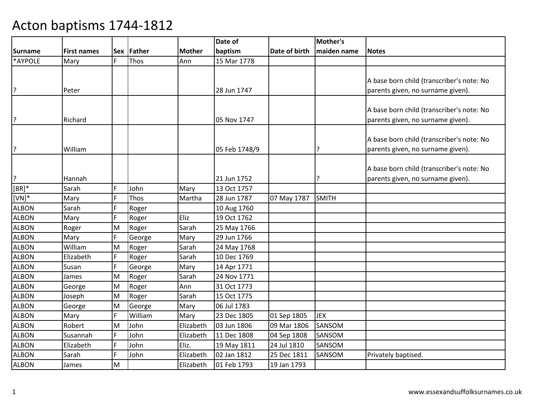|              |                    |            |             |               | Date of       |               | Mother's     |                                           |
|--------------|--------------------|------------|-------------|---------------|---------------|---------------|--------------|-------------------------------------------|
| Surname      | <b>First names</b> | <b>Sex</b> | Father      | <b>Mother</b> | baptism       | Date of birth | maiden name  | <b>Notes</b>                              |
| *AYPOLE      | Mary               | F.         | <b>Thos</b> | Ann           | 15 Mar 1778   |               |              |                                           |
|              |                    |            |             |               |               |               |              |                                           |
|              |                    |            |             |               |               |               |              | A base born child (transcriber's note: No |
| l?           | Peter              |            |             |               | 28 Jun 1747   |               |              | parents given, no surname given).         |
|              |                    |            |             |               |               |               |              |                                           |
|              |                    |            |             |               |               |               |              | A base born child (transcriber's note: No |
| ?            | Richard            |            |             |               | 05 Nov 1747   |               |              | parents given, no surname given).         |
|              |                    |            |             |               |               |               |              |                                           |
|              |                    |            |             |               |               |               |              | A base born child (transcriber's note: No |
| ?            | William            |            |             |               | 05 Feb 1748/9 |               | 7            | parents given, no surname given).         |
|              |                    |            |             |               |               |               |              |                                           |
|              |                    |            |             |               |               |               |              | A base born child (transcriber's note: No |
| ?            | Hannah             |            |             |               | 21 Jun 1752   |               |              | parents given, no surname given).         |
| $[BR]^*$     | Sarah              | F          | John        | Mary          | 13 Oct 1757   |               |              |                                           |
| $[VN]*$      | Mary               | F          | Thos        | Martha        | 28 Jun 1787   | 07 May 1787   | <b>SMITH</b> |                                           |
| <b>ALBON</b> | Sarah              | F          | Roger       |               | 10 Aug 1760   |               |              |                                           |
| <b>ALBON</b> | Mary               | F          | Roger       | Eliz          | 19 Oct 1762   |               |              |                                           |
| <b>ALBON</b> | Roger              | M          | Roger       | Sarah         | 25 May 1766   |               |              |                                           |
| <b>ALBON</b> | Mary               | F          | George      | Mary          | 29 Jun 1766   |               |              |                                           |
| <b>ALBON</b> | William            | M          | Roger       | Sarah         | 24 May 1768   |               |              |                                           |
| <b>ALBON</b> | Elizabeth          | F          | Roger       | Sarah         | 10 Dec 1769   |               |              |                                           |
| <b>ALBON</b> | Susan              | F          | George      | Mary          | 14 Apr 1771   |               |              |                                           |
| ALBON        | James              | M          | Roger       | Sarah         | 24 Nov 1771   |               |              |                                           |
| <b>ALBON</b> | George             | M          | Roger       | Ann           | 31 Oct 1773   |               |              |                                           |
| <b>ALBON</b> | Joseph             | M          | Roger       | Sarah         | 15 Oct 1775   |               |              |                                           |
| <b>ALBON</b> | George             | M          | George      | Mary          | 06 Jul 1783   |               |              |                                           |
| ALBON        | Mary               | F          | William     | Mary          | 23 Dec 1805   | 01 Sep 1805   | <b>JEX</b>   |                                           |
| <b>ALBON</b> | Robert             | M          | John        | Elizabeth     | 03 Jun 1806   | 09 Mar 1806   | SANSOM       |                                           |
| <b>ALBON</b> | Susannah           | F          | John        | Elizabeth     | 11 Dec 1808   | 04 Sep 1808   | SANSOM       |                                           |
| <b>ALBON</b> | Elizabeth          | F          | John        | Eliz.         | 19 May 1811   | 24 Jul 1810   | SANSOM       |                                           |
| <b>ALBON</b> | Sarah              | F          | John        | Elizabeth     | 02 Jan 1812   | 25 Dec 1811   | SANSOM       | Privately baptised.                       |
| <b>ALBON</b> | James              | M          |             | Elizabeth     | 01 Feb 1793   | 19 Jan 1793   |              |                                           |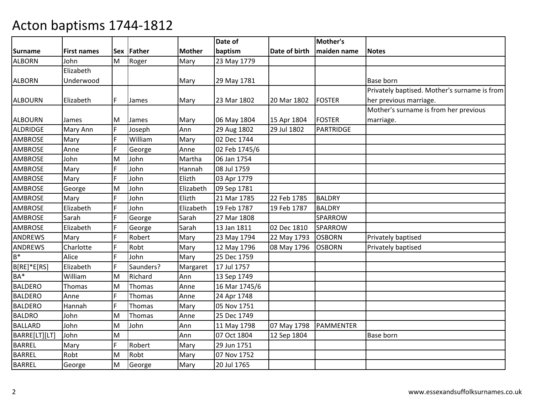|                 |                    |     |           |               | Date of       |               | Mother's       |                                              |
|-----------------|--------------------|-----|-----------|---------------|---------------|---------------|----------------|----------------------------------------------|
| Surname         | <b>First names</b> | Sex | Father    | <b>Mother</b> | baptism       | Date of birth | maiden name    | <b>Notes</b>                                 |
| <b>ALBORN</b>   | John               | M   | Roger     | Mary          | 23 May 1779   |               |                |                                              |
|                 | Elizabeth          |     |           |               |               |               |                |                                              |
| <b>ALBORN</b>   | Underwood          |     |           | Mary          | 29 May 1781   |               |                | <b>Base born</b>                             |
|                 |                    |     |           |               |               |               |                | Privately baptised. Mother's surname is from |
| <b>ALBOURN</b>  | Elizabeth          | F   | James     | Mary          | 23 Mar 1802   | 20 Mar 1802   | <b>FOSTER</b>  | her previous marriage.                       |
|                 |                    |     |           |               |               |               |                | Mother's surname is from her previous        |
| <b>ALBOURN</b>  | James              | M   | James     | Mary          | 06 May 1804   | 15 Apr 1804   | FOSTER         | marriage.                                    |
| ALDRIDGE        | Mary Ann           | F   | Joseph    | Ann           | 29 Aug 1802   | 29 Jul 1802   | PARTRIDGE      |                                              |
| <b>AMBROSE</b>  | Mary               | F   | William   | Mary          | 02 Dec 1744   |               |                |                                              |
| <b>AMBROSE</b>  | Anne               | F   | George    | Anne          | 02 Feb 1745/6 |               |                |                                              |
| <b>AMBROSE</b>  | John               | M   | John      | Martha        | 06 Jan 1754   |               |                |                                              |
| <b>AMBROSE</b>  | Mary               | F   | John      | Hannah        | 08 Jul 1759   |               |                |                                              |
| <b>AMBROSE</b>  | Mary               | E   | John      | Elizth        | 03 Apr 1779   |               |                |                                              |
| <b>AMBROSE</b>  | George             | M   | John      | Elizabeth     | 09 Sep 1781   |               |                |                                              |
| <b>AMBROSE</b>  | Mary               | F   | John      | Elizth        | 21 Mar 1785   | 22 Feb 1785   | <b>BALDRY</b>  |                                              |
| <b>AMBROSE</b>  | Elizabeth          | F   | John      | Elizabeth     | 19 Feb 1787   | 19 Feb 1787   | <b>BALDRY</b>  |                                              |
| <b>AMBROSE</b>  | Sarah              | E   | George    | Sarah         | 27 Mar 1808   |               | <b>SPARROW</b> |                                              |
| <b>AMBROSE</b>  | Elizabeth          | F   | George    | Sarah         | 13 Jan 1811   | 02 Dec 1810   | <b>SPARROW</b> |                                              |
| ANDREWS         | Mary               | E   | Robert    | Mary          | 23 May 1794   | 22 May 1793   | <b>OSBORN</b>  | Privately baptised                           |
| ANDREWS         | Charlotte          | E   | Robt      | Mary          | 12 May 1796   | 08 May 1796   | <b>OSBORN</b>  | Privately baptised                           |
| $B^*$           | Alice              | F   | John      | Mary          | 25 Dec 1759   |               |                |                                              |
| B[RE]*E[RS]     | Elizabeth          | F   | Saunders? | Margaret      | 17 Jul 1757   |               |                |                                              |
| BA <sup>*</sup> | William            | M   | Richard   | Ann           | 13 Sep 1749   |               |                |                                              |
| <b>BALDERO</b>  | Thomas             | M   | Thomas    | Anne          | 16 Mar 1745/6 |               |                |                                              |
| <b>BALDERO</b>  | Anne               | F   | Thomas    | Anne          | 24 Apr 1748   |               |                |                                              |
| <b>BALDERO</b>  | Hannah             | F   | Thomas    | Mary          | 05 Nov 1751   |               |                |                                              |
| <b>BALDRO</b>   | John               | M   | Thomas    | Anne          | 25 Dec 1749   |               |                |                                              |
| <b>BALLARD</b>  | John               | M   | John      | Ann           | 11 May 1798   | 07 May 1798   | PAMMENTER      |                                              |
| BARRE[LT][LT]   | John               | M   |           | Ann           | 07 Oct 1804   | 12 Sep 1804   |                | Base born                                    |
| <b>BARREL</b>   | Mary               | F   | Robert    | Mary          | 29 Jun 1751   |               |                |                                              |
| <b>BARREL</b>   | Robt               | M   | Robt      | Mary          | 07 Nov 1752   |               |                |                                              |
| <b>BARREL</b>   | George             | M   | George    | Mary          | 20 Jul 1765   |               |                |                                              |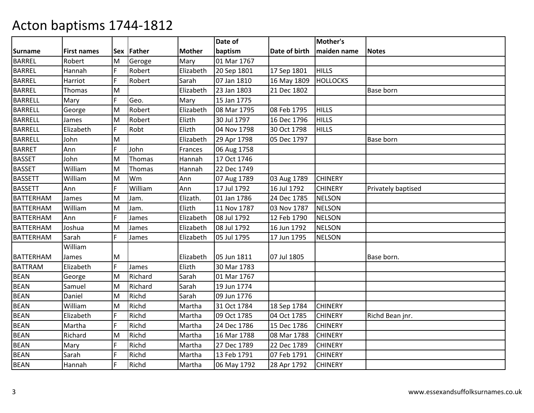|                  |                    |            |         |               | Date of     |               | Mother's        |                    |
|------------------|--------------------|------------|---------|---------------|-------------|---------------|-----------------|--------------------|
| <b>Surname</b>   | <b>First names</b> | <b>Sex</b> | Father  | <b>Mother</b> | baptism     | Date of birth | maiden name     | <b>Notes</b>       |
| <b>BARREL</b>    | Robert             | M          | Geroge  | Mary          | 01 Mar 1767 |               |                 |                    |
| <b>BARREL</b>    | Hannah             | F          | Robert  | Elizabeth     | 20 Sep 1801 | 17 Sep 1801   | <b>HILLS</b>    |                    |
| <b>BARREL</b>    | Harriot            | Ē          | Robert  | Sarah         | 07 Jan 1810 | 16 May 1809   | <b>HOLLOCKS</b> |                    |
| <b>BARREL</b>    | Thomas             | M          |         | Elizabeth     | 23 Jan 1803 | 21 Dec 1802   |                 | Base born          |
| <b>BARRELL</b>   | Mary               | F.         | Geo.    | Mary          | 15 Jan 1775 |               |                 |                    |
| <b>BARRELL</b>   | George             | M          | Robert  | Elizabeth     | 08 Mar 1795 | 08 Feb 1795   | <b>HILLS</b>    |                    |
| <b>BARRELL</b>   | James              | M          | Robert  | Elizth        | 30 Jul 1797 | 16 Dec 1796   | <b>HILLS</b>    |                    |
| <b>BARRELL</b>   | Elizabeth          | F.         | Robt    | Elizth        | 04 Nov 1798 | 30 Oct 1798   | <b>HILLS</b>    |                    |
| <b>BARRELL</b>   | John               | M          |         | Elizabeth     | 29 Apr 1798 | 05 Dec 1797   |                 | Base born          |
| <b>BARRET</b>    | Ann                | F          | John    | Frances       | 06 Aug 1758 |               |                 |                    |
| <b>BASSET</b>    | John               | M          | Thomas  | Hannah        | 17 Oct 1746 |               |                 |                    |
| <b>BASSET</b>    | William            | M          | Thomas  | Hannah        | 22 Dec 1749 |               |                 |                    |
| <b>BASSETT</b>   | William            | M          | Wm      | Ann           | 07 Aug 1789 | 03 Aug 1789   | <b>CHINERY</b>  |                    |
| <b>BASSETT</b>   | Ann                | F          | William | Ann           | 17 Jul 1792 | 16 Jul 1792   | <b>CHINERY</b>  | Privately baptised |
| <b>BATTERHAM</b> | James              | M          | Jam.    | Elizath.      | 01 Jan 1786 | 24 Dec 1785   | <b>NELSON</b>   |                    |
| <b>BATTERHAM</b> | William            | M          | Jam.    | Elizth        | 11 Nov 1787 | 03 Nov 1787   | <b>NELSON</b>   |                    |
| <b>BATTERHAM</b> | Ann                | F          | James   | Elizabeth     | 08 Jul 1792 | 12 Feb 1790   | <b>NELSON</b>   |                    |
| <b>BATTERHAM</b> | Joshua             | M          | James   | Elizabeth     | 08 Jul 1792 | 16 Jun 1792   | <b>NELSON</b>   |                    |
| <b>BATTERHAM</b> | Sarah              | F.         | James   | Elizabeth     | 05 Jul 1795 | 17 Jun 1795   | <b>NELSON</b>   |                    |
|                  | William            |            |         |               |             |               |                 |                    |
| <b>BATTERHAM</b> | James              | M          |         | Elizabeth     | 05 Jun 1811 | 07 Jul 1805   |                 | Base born.         |
| <b>BATTRAM</b>   | Elizabeth          | F.         | James   | Elizth        | 30 Mar 1783 |               |                 |                    |
| <b>BEAN</b>      | George             | M          | Richard | Sarah         | 01 Mar 1767 |               |                 |                    |
| <b>BEAN</b>      | Samuel             | M          | Richard | Sarah         | 19 Jun 1774 |               |                 |                    |
| <b>BEAN</b>      | Daniel             | M          | Richd   | Sarah         | 09 Jun 1776 |               |                 |                    |
| <b>BEAN</b>      | William            | M          | Richd   | Martha        | 31 Oct 1784 | 18 Sep 1784   | <b>CHINERY</b>  |                    |
| <b>BEAN</b>      | Elizabeth          | F          | Richd   | Martha        | 09 Oct 1785 | 04 Oct 1785   | <b>CHINERY</b>  | Richd Bean jnr.    |
| <b>BEAN</b>      | Martha             | F          | Richd   | Martha        | 24 Dec 1786 | 15 Dec 1786   | <b>CHINERY</b>  |                    |
| <b>BEAN</b>      | Richard            | M          | Richd   | Martha        | 16 Mar 1788 | 08 Mar 1788   | <b>CHINERY</b>  |                    |
| <b>BEAN</b>      | Mary               | F          | Richd   | Martha        | 27 Dec 1789 | 22 Dec 1789   | <b>CHINERY</b>  |                    |
| <b>BEAN</b>      | Sarah              | F          | Richd   | Martha        | 13 Feb 1791 | 07 Feb 1791   | <b>CHINERY</b>  |                    |
| <b>BEAN</b>      | Hannah             | Ë          | Richd   | Martha        | 06 May 1792 | 28 Apr 1792   | <b>CHINERY</b>  |                    |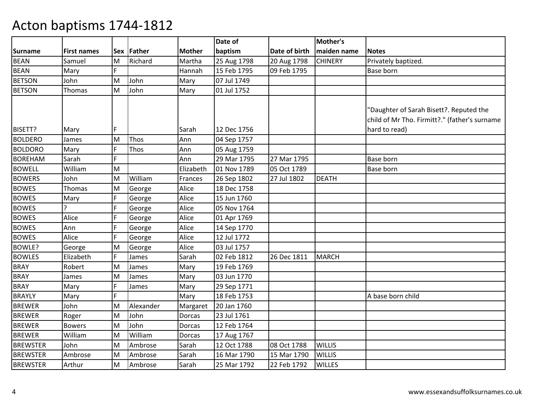|                 |                    |            |           |               | Date of     |               | Mother's       |                                                                                                           |
|-----------------|--------------------|------------|-----------|---------------|-------------|---------------|----------------|-----------------------------------------------------------------------------------------------------------|
| <b>Surname</b>  | <b>First names</b> | <b>Sex</b> | Father    | <b>Mother</b> | baptism     | Date of birth | maiden name    | <b>Notes</b>                                                                                              |
| <b>BEAN</b>     | Samuel             | M          | Richard   | Martha        | 25 Aug 1798 | 20 Aug 1798   | <b>CHINERY</b> | Privately baptized.                                                                                       |
| BEAN            | Mary               | F.         |           | Hannah        | 15 Feb 1795 | 09 Feb 1795   |                | Base born                                                                                                 |
| <b>BETSON</b>   | John               | M          | John      | Mary          | 07 Jul 1749 |               |                |                                                                                                           |
| <b>BETSON</b>   | Thomas             | M          | John      | Mary          | 01 Jul 1752 |               |                |                                                                                                           |
| BISETT?         | Mary               | F          |           | Sarah         | 12 Dec 1756 |               |                | 'Daughter of Sarah Bisett?. Reputed the<br>child of Mr Tho. Firmitt?." (father's surname<br>hard to read) |
| <b>BOLDERO</b>  | James              | M          | Thos      | Ann           | 04 Sep 1757 |               |                |                                                                                                           |
| <b>BOLDORO</b>  | Mary               | F          | Thos      | Ann           | 05 Aug 1759 |               |                |                                                                                                           |
| <b>BOREHAM</b>  | Sarah              | F          |           | Ann           | 29 Mar 1795 | 27 Mar 1795   |                | Base born                                                                                                 |
| <b>BOWELL</b>   | William            | M          |           | Elizabeth     | 01 Nov 1789 | 05 Oct 1789   |                | Base born                                                                                                 |
| <b>BOWERS</b>   | John               | ΙM         | William   | Frances       | 26 Sep 1802 | 27 Jul 1802   | <b>DEATH</b>   |                                                                                                           |
| <b>BOWES</b>    | Thomas             | M          | George    | Alice         | 18 Dec 1758 |               |                |                                                                                                           |
| <b>BOWES</b>    | Mary               | F          | George    | Alice         | 15 Jun 1760 |               |                |                                                                                                           |
| <b>BOWES</b>    | ς                  | F          | George    | Alice         | 05 Nov 1764 |               |                |                                                                                                           |
| <b>BOWES</b>    | Alice              | F          | George    | Alice         | 01 Apr 1769 |               |                |                                                                                                           |
| <b>BOWES</b>    | Ann                | F          | George    | Alice         | 14 Sep 1770 |               |                |                                                                                                           |
| <b>BOWES</b>    | Alice              | F          | George    | Alice         | 12 Jul 1772 |               |                |                                                                                                           |
| BOWLE?          | George             | M          | George    | Alice         | 03 Jul 1757 |               |                |                                                                                                           |
| <b>BOWLES</b>   | Elizabeth          | F.         | James     | Sarah         | 02 Feb 1812 | 26 Dec 1811   | <b>MARCH</b>   |                                                                                                           |
| <b>BRAY</b>     | Robert             | M          | James     | Mary          | 19 Feb 1769 |               |                |                                                                                                           |
| <b>BRAY</b>     | James              | M          | James     | Mary          | 03 Jun 1770 |               |                |                                                                                                           |
| <b>BRAY</b>     | Mary               | F          | James     | Mary          | 29 Sep 1771 |               |                |                                                                                                           |
| <b>BRAYLY</b>   | Mary               | F.         |           | Mary          | 18 Feb 1753 |               |                | A base born child                                                                                         |
| <b>BREWER</b>   | John               | M          | Alexander | Margaret      | 20 Jan 1760 |               |                |                                                                                                           |
| <b>BREWER</b>   | Roger              | M          | John      | Dorcas        | 23 Jul 1761 |               |                |                                                                                                           |
| <b>BREWER</b>   | <b>Bowers</b>      | M          | John      | Dorcas        | 12 Feb 1764 |               |                |                                                                                                           |
| <b>BREWER</b>   | William            | M          | William   | Dorcas        | 17 Aug 1767 |               |                |                                                                                                           |
| <b>BREWSTER</b> | John               | M          | Ambrose   | Sarah         | 12 Oct 1788 | 08 Oct 1788   | <b>WILLIS</b>  |                                                                                                           |
| <b>BREWSTER</b> | Ambrose            | M          | Ambrose   | Sarah         | 16 Mar 1790 | 15 Mar 1790   | <b>WILLIS</b>  |                                                                                                           |
| <b>BREWSTER</b> | Arthur             | M          | Ambrose   | Sarah         | 25 Mar 1792 | 22 Feb 1792   | <b>WILLES</b>  |                                                                                                           |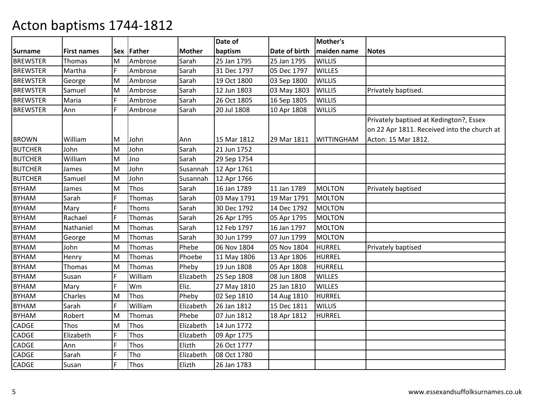|                 |                    |     |         |               | Date of     |               | Mother's          |                                             |
|-----------------|--------------------|-----|---------|---------------|-------------|---------------|-------------------|---------------------------------------------|
| <b>Surname</b>  | <b>First names</b> | Sex | Father  | <b>Mother</b> | baptism     | Date of birth | maiden name       | <b>Notes</b>                                |
| <b>BREWSTER</b> | Thomas             | M   | Ambrose | Sarah         | 25 Jan 1795 | 25 Jan 1795   | <b>WILLIS</b>     |                                             |
| <b>BREWSTER</b> | Martha             | F   | Ambrose | Sarah         | 31 Dec 1797 | 05 Dec 1797   | <b>WILLES</b>     |                                             |
| <b>BREWSTER</b> | George             | M   | Ambrose | Sarah         | 19 Oct 1800 | 03 Sep 1800   | <b>WILLIS</b>     |                                             |
| <b>BREWSTER</b> | Samuel             | M   | Ambrose | Sarah         | 12 Jun 1803 | 03 May 1803   | <b>WILLIS</b>     | Privately baptised.                         |
| <b>BREWSTER</b> | Maria              | F.  | Ambrose | Sarah         | 26 Oct 1805 | 16 Sep 1805   | <b>WILLIS</b>     |                                             |
| <b>BREWSTER</b> | Ann                | F.  | Ambrose | Sarah         | 20 Jul 1808 | 10 Apr 1808   | <b>WILLIS</b>     |                                             |
|                 |                    |     |         |               |             |               |                   | Privately baptised at Kedington?, Essex     |
|                 |                    |     |         |               |             |               |                   | on 22 Apr 1811. Received into the church at |
| <b>BROWN</b>    | William            | M   | John    | Ann           | 15 Mar 1812 | 29 Mar 1811   | <b>WITTINGHAM</b> | Acton: 15 Mar 1812.                         |
| <b>BUTCHER</b>  | John               | M   | John    | Sarah         | 21 Jun 1752 |               |                   |                                             |
| <b>BUTCHER</b>  | William            | M   | Jno     | Sarah         | 29 Sep 1754 |               |                   |                                             |
| <b>BUTCHER</b>  | James              | M   | John    | Susannah      | 12 Apr 1761 |               |                   |                                             |
| <b>BUTCHER</b>  | Samuel             | M   | John    | Susannah      | 12 Apr 1766 |               |                   |                                             |
| <b>BYHAM</b>    | James              | M   | Thos    | Sarah         | 16 Jan 1789 | 11 Jan 1789   | <b>MOLTON</b>     | Privately baptised                          |
| <b>BYHAM</b>    | Sarah              | F   | Thomas  | Sarah         | 03 May 1791 | 19 Mar 1791   | <b>MOLTON</b>     |                                             |
| <b>BYHAM</b>    | Mary               | F.  | Thoms   | Sarah         | 30 Dec 1792 | 14 Dec 1792   | <b>MOLTON</b>     |                                             |
| <b>BYHAM</b>    | Rachael            | F   | Thomas  | Sarah         | 26 Apr 1795 | 05 Apr 1795   | <b>MOLTON</b>     |                                             |
| <b>BYHAM</b>    | Nathaniel          | M   | Thomas  | Sarah         | 12 Feb 1797 | 16 Jan 1797   | <b>MOLTON</b>     |                                             |
| <b>BYHAM</b>    | George             | M   | Thomas  | Sarah         | 30 Jun 1799 | 07 Jun 1799   | <b>MOLTON</b>     |                                             |
| <b>BYHAM</b>    | John               | M   | Thomas  | Phebe         | 06 Nov 1804 | 05 Nov 1804   | <b>HURREL</b>     | Privately baptised                          |
| <b>BYHAM</b>    | Henry              | M   | Thomas  | Phoebe        | 11 May 1806 | 13 Apr 1806   | <b>HURREL</b>     |                                             |
| <b>BYHAM</b>    | Thomas             | M   | Thomas  | Pheby         | 19 Jun 1808 | 05 Apr 1808   | <b>HURRELL</b>    |                                             |
| <b>BYHAM</b>    | Susan              | F.  | William | Elizabeth     | 25 Sep 1808 | 08 Jun 1808   | <b>WILLES</b>     |                                             |
| <b>BYHAM</b>    | Mary               | F   | Wm      | Eliz.         | 27 May 1810 | 25 Jan 1810   | <b>WILLES</b>     |                                             |
| <b>BYHAM</b>    | Charles            | M   | Thos    | Pheby         | 02 Sep 1810 | 14 Aug 1810   | <b>HURREL</b>     |                                             |
| <b>BYHAM</b>    | Sarah              | F.  | William | Elizabeth     | 26 Jan 1812 | 15 Dec 1811   | <b>WILLIS</b>     |                                             |
| <b>BYHAM</b>    | Robert             | M   | Thomas  | Phebe         | 07 Jun 1812 | 18 Apr 1812   | <b>HURREL</b>     |                                             |
| <b>CADGE</b>    | Thos               | M   | Thos    | Elizabeth     | 14 Jun 1772 |               |                   |                                             |
| CADGE           | Elizabeth          | F   | Thos    | Elizabeth     | 09 Apr 1775 |               |                   |                                             |
| <b>CADGE</b>    | Ann                | F   | Thos    | Elizth        | 26 Oct 1777 |               |                   |                                             |
| <b>CADGE</b>    | Sarah              | F   | Tho     | Elizabeth     | 08 Oct 1780 |               |                   |                                             |
| <b>CADGE</b>    | Susan              | F   | Thos    | Elizth        | 26 Jan 1783 |               |                   |                                             |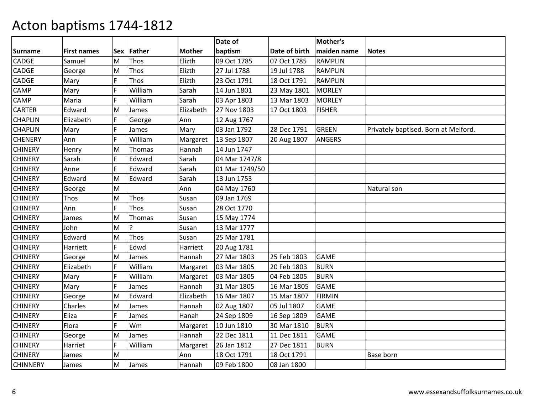|                 |                    |            |              |               | Date of        |               | Mother's       |                                      |
|-----------------|--------------------|------------|--------------|---------------|----------------|---------------|----------------|--------------------------------------|
| <b>Surname</b>  | <b>First names</b> | <b>Sex</b> | Father       | <b>Mother</b> | baptism        | Date of birth | maiden name    | <b>Notes</b>                         |
| CADGE           | Samuel             | M          | Thos         | Elizth        | 09 Oct 1785    | 07 Oct 1785   | <b>RAMPLIN</b> |                                      |
| CADGE           | George             | M          | Thos         | Elizth        | 27 Jul 1788    | 19 Jul 1788   | <b>RAMPLIN</b> |                                      |
| CADGE           | Mary               | F          | Thos         | Elizth        | 23 Oct 1791    | 18 Oct 1791   | <b>RAMPLIN</b> |                                      |
| CAMP            | Mary               | F          | William      | Sarah         | 14 Jun 1801    | 23 May 1801   | <b>MORLEY</b>  |                                      |
| CAMP            | Maria              | F          | William      | Sarah         | 03 Apr 1803    | 13 Mar 1803   | <b>MORLEY</b>  |                                      |
| <b>CARTER</b>   | Edward             | M          | James        | Elizabeth     | 27 Nov 1803    | 17 Oct 1803   | <b>FISHER</b>  |                                      |
| <b>CHAPLIN</b>  | Elizabeth          | F          | George       | Ann           | 12 Aug 1767    |               |                |                                      |
| <b>CHAPLIN</b>  | Mary               | F          | James        | Mary          | 03 Jan 1792    | 28 Dec 1791   | <b>GREEN</b>   | Privately baptised. Born at Melford. |
| <b>CHENERY</b>  | Ann                | F          | William      | Margaret      | 13 Sep 1807    | 20 Aug 1807   | <b>ANGERS</b>  |                                      |
| <b>CHINERY</b>  | Henry              | M          | Thomas       | Hannah        | 14 Jun 1747    |               |                |                                      |
| <b>CHINERY</b>  | Sarah              | F          | Edward       | Sarah         | 04 Mar 1747/8  |               |                |                                      |
| <b>CHINERY</b>  | Anne               | E          | Edward       | Sarah         | 01 Mar 1749/50 |               |                |                                      |
| <b>CHINERY</b>  | Edward             | M          | Edward       | Sarah         | 13 Jun 1753    |               |                |                                      |
| <b>CHINERY</b>  | George             | M          |              | Ann           | 04 May 1760    |               |                | Natural son                          |
| <b>CHINERY</b>  | Thos               | M          | Thos         | Susan         | 09 Jan 1769    |               |                |                                      |
| <b>CHINERY</b>  | Ann                | F          | Thos         | Susan         | 28 Oct 1770    |               |                |                                      |
| <b>CHINERY</b>  | James              | M          | Thomas       | Susan         | 15 May 1774    |               |                |                                      |
| <b>CHINERY</b>  | John               | M          | <sup>2</sup> | Susan         | 13 Mar 1777    |               |                |                                      |
| <b>CHINERY</b>  | Edward             | M          | Thos         | Susan         | 25 Mar 1781    |               |                |                                      |
| <b>CHINERY</b>  | Harriett           | F          | Edwd         | Harriett      | 20 Aug 1781    |               |                |                                      |
| <b>CHINERY</b>  | George             | M          | James        | Hannah        | 27 Mar 1803    | 25 Feb 1803   | <b>GAME</b>    |                                      |
| <b>CHINERY</b>  | Elizabeth          | F          | William      | Margaret      | 03 Mar 1805    | 20 Feb 1803   | <b>BURN</b>    |                                      |
| <b>CHINERY</b>  | Mary               | F          | William      | Margaret      | 03 Mar 1805    | 04 Feb 1805   | <b>BURN</b>    |                                      |
| <b>CHINERY</b>  | Mary               | F          | James        | Hannah        | 31 Mar 1805    | 16 Mar 1805   | <b>GAME</b>    |                                      |
| <b>CHINERY</b>  | George             | M          | Edward       | Elizabeth     | 16 Mar 1807    | 15 Mar 1807   | <b>FIRMIN</b>  |                                      |
| <b>CHINERY</b>  | Charles            | M          | James        | Hannah        | 02 Aug 1807    | 05 Jul 1807   | <b>GAME</b>    |                                      |
| <b>CHINERY</b>  | Eliza              | F          | James        | Hanah         | 24 Sep 1809    | 16 Sep 1809   | <b>GAME</b>    |                                      |
| <b>CHINERY</b>  | Flora              | F          | Wm           | Margaret      | 10 Jun 1810    | 30 Mar 1810   | <b>BURN</b>    |                                      |
| <b>CHINERY</b>  | George             | M          | James        | Hannah        | 22 Dec 1811    | 11 Dec 1811   | <b>GAME</b>    |                                      |
| <b>CHINERY</b>  | Harriet            | F          | William      | Margaret      | 26 Jan 1812    | 27 Dec 1811   | <b>BURN</b>    |                                      |
| <b>CHINERY</b>  | James              | M          |              | Ann           | 18 Oct 1791    | 18 Oct 1791   |                | Base born                            |
| <b>CHINNERY</b> | James              | M          | James        | Hannah        | 09 Feb 1800    | 08 Jan 1800   |                |                                      |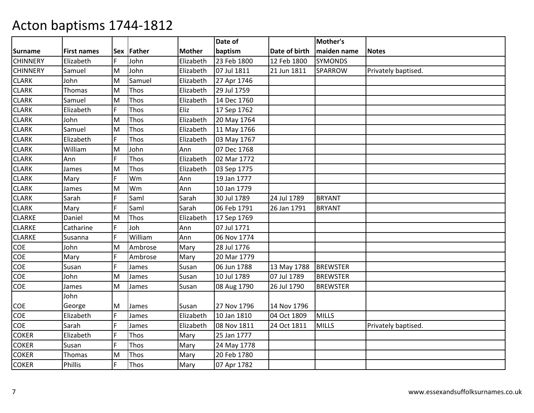|                 |                    |    |            |               | Date of     |               | Mother's        |                     |
|-----------------|--------------------|----|------------|---------------|-------------|---------------|-----------------|---------------------|
| <b>Surname</b>  | <b>First names</b> |    | Sex Father | <b>Mother</b> | baptism     | Date of birth | maiden name     | <b>Notes</b>        |
| <b>CHINNERY</b> | Elizabeth          | F. | John       | Elizabeth     | 23 Feb 1800 | 12 Feb 1800   | <b>SYMONDS</b>  |                     |
| <b>CHINNERY</b> | Samuel             | M  | John       | Elizabeth     | 07 Jul 1811 | 21 Jun 1811   | <b>SPARROW</b>  | Privately baptised. |
| <b>CLARK</b>    | John               | M  | Samuel     | Elizabeth     | 27 Apr 1746 |               |                 |                     |
| <b>CLARK</b>    | Thomas             | M  | Thos       | Elizabeth     | 29 Jul 1759 |               |                 |                     |
| <b>CLARK</b>    | Samuel             | M  | Thos       | Elizabeth     | 14 Dec 1760 |               |                 |                     |
| <b>CLARK</b>    | Elizabeth          | F  | Thos       | Eliz          | 17 Sep 1762 |               |                 |                     |
| <b>CLARK</b>    | John               | M  | Thos       | Elizabeth     | 20 May 1764 |               |                 |                     |
| <b>CLARK</b>    | Samuel             | M  | Thos       | Elizabeth     | 11 May 1766 |               |                 |                     |
| <b>CLARK</b>    | Elizabeth          | Ē  | Thos       | Elizabeth     | 03 May 1767 |               |                 |                     |
| <b>CLARK</b>    | William            | M  | John       | Ann           | 07 Dec 1768 |               |                 |                     |
| <b>CLARK</b>    | Ann                | F  | Thos       | Elizabeth     | 02 Mar 1772 |               |                 |                     |
| <b>CLARK</b>    | James              | M  | Thos       | Elizabeth     | 03 Sep 1775 |               |                 |                     |
| <b>CLARK</b>    | Mary               | F  | Wm         | Ann           | 19 Jan 1777 |               |                 |                     |
| <b>CLARK</b>    | James              | M  | Wm         | Ann           | 10 Jan 1779 |               |                 |                     |
| <b>CLARK</b>    | Sarah              | F  | Saml       | Sarah         | 30 Jul 1789 | 24 Jul 1789   | <b>BRYANT</b>   |                     |
| <b>CLARK</b>    | Mary               | F  | Saml       | Sarah         | 06 Feb 1791 | 26 Jan 1791   | <b>BRYANT</b>   |                     |
| <b>CLARKE</b>   | Daniel             | M  | Thos       | Elizabeth     | 17 Sep 1769 |               |                 |                     |
| <b>CLARKE</b>   | Catharine          | F  | Joh        | Ann           | 07 Jul 1771 |               |                 |                     |
| <b>CLARKE</b>   | Susanna            | F  | William    | Ann           | 06 Nov 1774 |               |                 |                     |
| COE             | John               | M  | Ambrose    | Mary          | 28 Jul 1776 |               |                 |                     |
| COE             | Mary               | F  | Ambrose    | Mary          | 20 Mar 1779 |               |                 |                     |
| COE             | Susan              | F  | James      | Susan         | 06 Jun 1788 | 13 May 1788   | <b>BREWSTER</b> |                     |
| COE             | John               | M  | James      | Susan         | 10 Jul 1789 | 07 Jul 1789   | <b>BREWSTER</b> |                     |
| COE             | James              | M  | James      | Susan         | 08 Aug 1790 | 26 Jul 1790   | <b>BREWSTER</b> |                     |
|                 | John               |    |            |               |             |               |                 |                     |
| COE             | George             | M  | James      | Susan         | 27 Nov 1796 | 14 Nov 1796   |                 |                     |
| COE             | Elizabeth          | F  | James      | Elizabeth     | 10 Jan 1810 | 04 Oct 1809   | <b>MILLS</b>    |                     |
| <b>COE</b>      | Sarah              | Ē  | James      | Elizabeth     | 08 Nov 1811 | 24 Oct 1811   | <b>MILLS</b>    | Privately baptised. |
| <b>COKER</b>    | Elizabeth          | F  | Thos       | Mary          | 25 Jan 1777 |               |                 |                     |
| <b>COKER</b>    | Susan              | F  | Thos       | Mary          | 24 May 1778 |               |                 |                     |
| <b>COKER</b>    | Thomas             | M  | Thos       | Mary          | 20 Feb 1780 |               |                 |                     |
| <b>COKER</b>    | <b>Phillis</b>     | F  | Thos       | Mary          | 07 Apr 1782 |               |                 |                     |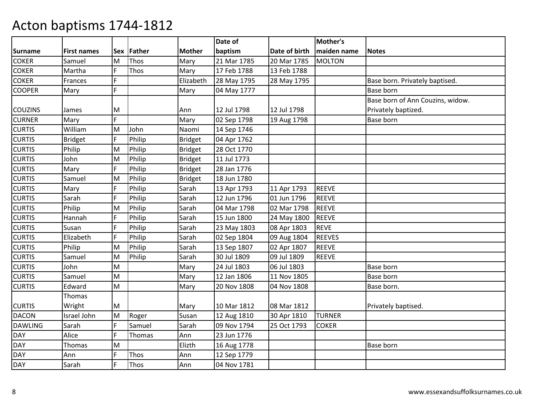|                |                    |   |            |                | Date of     |               | Mother's      |                                  |
|----------------|--------------------|---|------------|----------------|-------------|---------------|---------------|----------------------------------|
| <b>Surname</b> | <b>First names</b> |   | Sex Father | <b>Mother</b>  | baptism     | Date of birth | maiden name   | <b>Notes</b>                     |
| <b>COKER</b>   | Samuel             | M | Thos       | Mary           | 21 Mar 1785 | 20 Mar 1785   | <b>MOLTON</b> |                                  |
| <b>COKER</b>   | Martha             | F | Thos       | Mary           | 17 Feb 1788 | 13 Feb 1788   |               |                                  |
| <b>COKER</b>   | Frances            | F |            | Elizabeth      | 28 May 1795 | 28 May 1795   |               | Base born. Privately baptised.   |
| <b>COOPER</b>  | Mary               | F |            | Mary           | 04 May 1777 |               |               | Base born                        |
|                |                    |   |            |                |             |               |               | Base born of Ann Couzins, widow. |
| <b>COUZINS</b> | James              | M |            | Ann            | 12 Jul 1798 | 12 Jul 1798   |               | Privately baptized.              |
| <b>CURNER</b>  | Mary               | F |            | Mary           | 02 Sep 1798 | 19 Aug 1798   |               | Base born                        |
| <b>CURTIS</b>  | William            | M | John       | Naomi          | 14 Sep 1746 |               |               |                                  |
| <b>CURTIS</b>  | <b>Bridget</b>     | F | Philip     | <b>Bridget</b> | 04 Apr 1762 |               |               |                                  |
| <b>CURTIS</b>  | Philip             | M | Philip     | Bridget        | 28 Oct 1770 |               |               |                                  |
| <b>CURTIS</b>  | John               | M | Philip     | Bridget        | 11 Jul 1773 |               |               |                                  |
| <b>CURTIS</b>  | Mary               | F | Philip     | Bridget        | 28 Jan 1776 |               |               |                                  |
| <b>CURTIS</b>  | Samuel             | M | Philip     | Bridget        | 18 Jun 1780 |               |               |                                  |
| <b>CURTIS</b>  | Mary               | F | Philip     | Sarah          | 13 Apr 1793 | 11 Apr 1793   | <b>REEVE</b>  |                                  |
| <b>CURTIS</b>  | Sarah              | F | Philip     | Sarah          | 12 Jun 1796 | 01 Jun 1796   | <b>REEVE</b>  |                                  |
| <b>CURTIS</b>  | Philip             | M | Philip     | Sarah          | 04 Mar 1798 | 02 Mar 1798   | <b>REEVE</b>  |                                  |
| <b>CURTIS</b>  | Hannah             | F | Philip     | Sarah          | 15 Jun 1800 | 24 May 1800   | <b>REEVE</b>  |                                  |
| <b>CURTIS</b>  | Susan              | F | Philip     | Sarah          | 23 May 1803 | 08 Apr 1803   | <b>REVE</b>   |                                  |
| <b>CURTIS</b>  | Elizabeth          | F | Philip     | Sarah          | 02 Sep 1804 | 09 Aug 1804   | <b>REEVES</b> |                                  |
| <b>CURTIS</b>  | Philip             | M | Philip     | Sarah          | 13 Sep 1807 | 02 Apr 1807   | <b>REEVE</b>  |                                  |
| <b>CURTIS</b>  | Samuel             | M | Philip     | Sarah          | 30 Jul 1809 | 09 Jul 1809   | <b>REEVE</b>  |                                  |
| <b>CURTIS</b>  | John               | M |            | Mary           | 24 Jul 1803 | 06 Jul 1803   |               | Base born                        |
| <b>CURTIS</b>  | Samuel             | M |            | Mary           | 12 Jan 1806 | 11 Nov 1805   |               | Base born                        |
| <b>CURTIS</b>  | Edward             | M |            | Mary           | 20 Nov 1808 | 04 Nov 1808   |               | Base born.                       |
|                | Thomas             |   |            |                |             |               |               |                                  |
| <b>CURTIS</b>  | Wright             | M |            | Mary           | 10 Mar 1812 | 08 Mar 1812   |               | Privately baptised.              |
| <b>DACON</b>   | Israel John        | M | Roger      | Susan          | 12 Aug 1810 | 30 Apr 1810   | <b>TURNER</b> |                                  |
| <b>DAWLING</b> | Sarah              | F | Samuel     | Sarah          | 09 Nov 1794 | 25 Oct 1793   | <b>COKER</b>  |                                  |
| <b>DAY</b>     | Alice              | F | Thomas     | Ann            | 23 Jun 1776 |               |               |                                  |
| <b>DAY</b>     | <b>Thomas</b>      | M |            | Elizth         | 16 Aug 1778 |               |               | Base born                        |
| <b>DAY</b>     | Ann                | F | Thos       | Ann            | 12 Sep 1779 |               |               |                                  |
| <b>DAY</b>     | Sarah              | F | Thos       | Ann            | 04 Nov 1781 |               |               |                                  |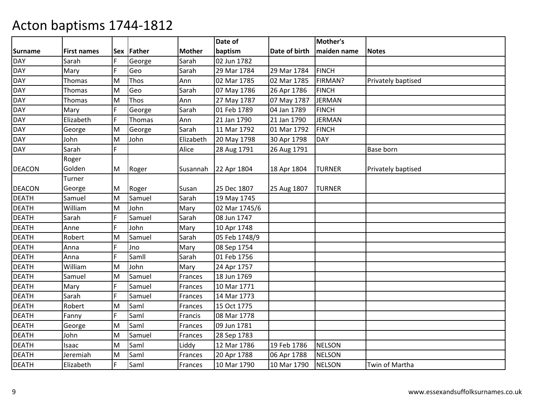|                |                    |    |             |               | Date of       |               | Mother's      |                    |
|----------------|--------------------|----|-------------|---------------|---------------|---------------|---------------|--------------------|
| <b>Surname</b> | <b>First names</b> |    | Sex Father  | <b>Mother</b> | baptism       | Date of birth | maiden name   | <b>Notes</b>       |
| <b>DAY</b>     | Sarah              | F. | George      | Sarah         | 02 Jun 1782   |               |               |                    |
| <b>DAY</b>     | Mary               | F  | Geo         | Sarah         | 29 Mar 1784   | 29 Mar 1784   | <b>FINCH</b>  |                    |
| <b>DAY</b>     | Thomas             | M  | <b>Thos</b> | Ann           | 02 Mar 1785   | 02 Mar 1785   | FIRMAN?       | Privately baptised |
| <b>DAY</b>     | Thomas             | M  | Geo         | Sarah         | 07 May 1786   | 26 Apr 1786   | <b>FINCH</b>  |                    |
| <b>DAY</b>     | Thomas             | M  | Thos        | Ann           | 27 May 1787   | 07 May 1787   | <b>JERMAN</b> |                    |
| <b>DAY</b>     | Mary               | F  | George      | Sarah         | 01 Feb 1789   | 04 Jan 1789   | <b>FINCH</b>  |                    |
| <b>DAY</b>     | Elizabeth          | F  | Thomas      | Ann           | 21 Jan 1790   | 21 Jan 1790   | <b>JERMAN</b> |                    |
| <b>DAY</b>     | George             | M  | George      | Sarah         | 11 Mar 1792   | 01 Mar 1792   | <b>FINCH</b>  |                    |
| <b>DAY</b>     | John               | M  | John        | Elizabeth     | 20 May 1798   | 30 Apr 1798   | <b>DAY</b>    |                    |
| <b>DAY</b>     | Sarah              | F  |             | Alice         | 28 Aug 1791   | 26 Aug 1791   |               | Base born          |
|                | Roger              |    |             |               |               |               |               |                    |
| <b>DEACON</b>  | Golden             | M  | Roger       | Susannah      | 22 Apr 1804   | 18 Apr 1804   | <b>TURNER</b> | Privately baptised |
|                | Turner             |    |             |               |               |               |               |                    |
| <b>DEACON</b>  | George             | M  | Roger       | Susan         | 25 Dec 1807   | 25 Aug 1807   | <b>TURNER</b> |                    |
| <b>DEATH</b>   | Samuel             | M  | Samuel      | Sarah         | 19 May 1745   |               |               |                    |
| <b>DEATH</b>   | William            | M  | John        | Mary          | 02 Mar 1745/6 |               |               |                    |
| <b>DEATH</b>   | Sarah              | F  | Samuel      | Sarah         | 08 Jun 1747   |               |               |                    |
| <b>DEATH</b>   | Anne               | F  | John        | Mary          | 10 Apr 1748   |               |               |                    |
| <b>DEATH</b>   | Robert             | M  | Samuel      | Sarah         | 05 Feb 1748/9 |               |               |                    |
| <b>DEATH</b>   | Anna               | F  | Jno         | Mary          | 08 Sep 1754   |               |               |                    |
| <b>DEATH</b>   | Anna               | F  | Samll       | Sarah         | 01 Feb 1756   |               |               |                    |
| <b>DEATH</b>   | William            | M  | John        | Mary          | 24 Apr 1757   |               |               |                    |
| <b>DEATH</b>   | Samuel             | M  | Samuel      | Frances       | 18 Jun 1769   |               |               |                    |
| <b>DEATH</b>   | Mary               | F  | Samuel      | Frances       | 10 Mar 1771   |               |               |                    |
| <b>DEATH</b>   | Sarah              | F  | Samuel      | Frances       | 14 Mar 1773   |               |               |                    |
| <b>DEATH</b>   | Robert             | M  | Saml        | Frances       | 15 Oct 1775   |               |               |                    |
| <b>DEATH</b>   | Fanny              | F  | Saml        | Francis       | 08 Mar 1778   |               |               |                    |
| <b>DEATH</b>   | George             | M  | Saml        | Frances       | 09 Jun 1781   |               |               |                    |
| <b>DEATH</b>   | John               | M  | Samuel      | Frances       | 28 Sep 1783   |               |               |                    |
| <b>DEATH</b>   | Isaac              | M  | Saml        | Liddy         | 12 Mar 1786   | 19 Feb 1786   | <b>NELSON</b> |                    |
| <b>DEATH</b>   | Jeremiah           | м  | Saml        | Frances       | 20 Apr 1788   | 06 Apr 1788   | <b>NELSON</b> |                    |
| <b>DEATH</b>   | Elizabeth          | F  | Saml        | Frances       | 10 Mar 1790   | 10 Mar 1790   | <b>NELSON</b> | Twin of Martha     |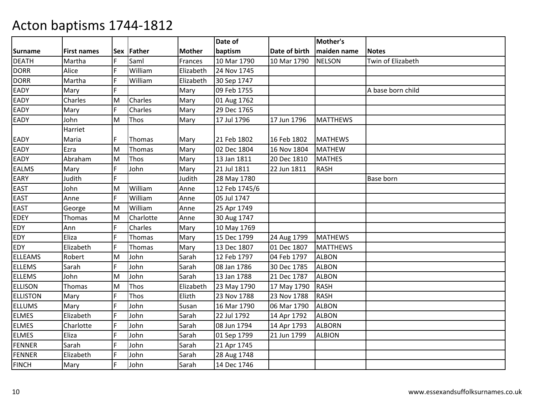|                 |                    |    |            |               | Date of       |               | Mother's        |                   |
|-----------------|--------------------|----|------------|---------------|---------------|---------------|-----------------|-------------------|
| <b>Surname</b>  | <b>First names</b> |    | Sex Father | <b>Mother</b> | baptism       | Date of birth | maiden name     | <b>Notes</b>      |
| <b>DEATH</b>    | Martha             | F  | Saml       | Frances       | 10 Mar 1790   | 10 Mar 1790   | <b>NELSON</b>   | Twin of Elizabeth |
| <b>DORR</b>     | Alice              | F  | William    | Elizabeth     | 24 Nov 1745   |               |                 |                   |
| <b>DORR</b>     | Martha             | F  | William    | Elizabeth     | 30 Sep 1747   |               |                 |                   |
| EADY            | Mary               | F. |            | Mary          | 09 Feb 1755   |               |                 | A base born child |
| EADY            | Charles            | M  | Charles    | Mary          | 01 Aug 1762   |               |                 |                   |
| EADY            | Mary               | F. | Charles    | Mary          | 29 Dec 1765   |               |                 |                   |
| EADY            | John               | M  | Thos       | Mary          | 17 Jul 1796   | 17 Jun 1796   | <b>MATTHEWS</b> |                   |
|                 | Harriet            |    |            |               |               |               |                 |                   |
| EADY            | Maria              | F  | Thomas     | Mary          | 21 Feb 1802   | 16 Feb 1802   | <b>MATHEWS</b>  |                   |
| EADY            | Ezra               | M  | Thomas     | Mary          | 02 Dec 1804   | 16 Nov 1804   | <b>MATHEW</b>   |                   |
| EADY            | Abraham            | M  | Thos       | Mary          | 13 Jan 1811   | 20 Dec 1810   | <b>MATHES</b>   |                   |
| <b>EALMS</b>    | Mary               | F  | John       | Mary          | 21 Jul 1811   | 22 Jun 1811   | <b>RASH</b>     |                   |
| EARY            | Judith             | F  |            | Judith        | 28 May 1780   |               |                 | <b>Base born</b>  |
| <b>EAST</b>     | John               | M  | William    | Anne          | 12 Feb 1745/6 |               |                 |                   |
| <b>EAST</b>     | Anne               | F  | William    | Anne          | 05 Jul 1747   |               |                 |                   |
| <b>EAST</b>     | George             | M  | William    | Anne          | 25 Apr 1749   |               |                 |                   |
| EDEY            | Thomas             | M  | Charlotte  | Anne          | 30 Aug 1747   |               |                 |                   |
| EDY             | Ann                | F  | Charles    | Mary          | 10 May 1769   |               |                 |                   |
| EDY             | Eliza              | F  | Thomas     | Mary          | 15 Dec 1799   | 24 Aug 1799   | <b>MATHEWS</b>  |                   |
| EDY             | Elizabeth          | F  | Thomas     | Mary          | 13 Dec 1807   | 01 Dec 1807   | <b>MATTHEWS</b> |                   |
| <b>ELLEAMS</b>  | Robert             | M  | John       | Sarah         | 12 Feb 1797   | 04 Feb 1797   | <b>ALBON</b>    |                   |
| <b>ELLEMS</b>   | Sarah              | F  | John       | Sarah         | 08 Jan 1786   | 30 Dec 1785   | <b>ALBON</b>    |                   |
| <b>ELLEMS</b>   | John               | M  | John       | Sarah         | 13 Jan 1788   | 21 Dec 1787   | <b>ALBON</b>    |                   |
| <b>ELLISON</b>  | Thomas             | M  | Thos       | Elizabeth     | 23 May 1790   | 17 May 1790   | <b>RASH</b>     |                   |
| <b>ELLISTON</b> | Mary               | F  | Thos       | Elizth        | 23 Nov 1788   | 23 Nov 1788   | <b>RASH</b>     |                   |
| <b>ELLUMS</b>   | Mary               | F  | John       | Susan         | 16 Mar 1790   | 06 Mar 1790   | <b>ALBON</b>    |                   |
| <b>ELMES</b>    | Elizabeth          | E  | John       | Sarah         | 22 Jul 1792   | 14 Apr 1792   | <b>ALBON</b>    |                   |
| <b>ELMES</b>    | Charlotte          | F  | John       | Sarah         | 08 Jun 1794   | 14 Apr 1793   | <b>ALBORN</b>   |                   |
| <b>ELMES</b>    | Eliza              | F  | John       | Sarah         | 01 Sep 1799   | 21 Jun 1799   | <b>ALBION</b>   |                   |
| <b>FENNER</b>   | Sarah              | F  | John       | Sarah         | 21 Apr 1745   |               |                 |                   |
| <b>FENNER</b>   | Elizabeth          | F. | John       | Sarah         | 28 Aug 1748   |               |                 |                   |
| <b>FINCH</b>    | Mary               | F  | John       | Sarah         | 14 Dec 1746   |               |                 |                   |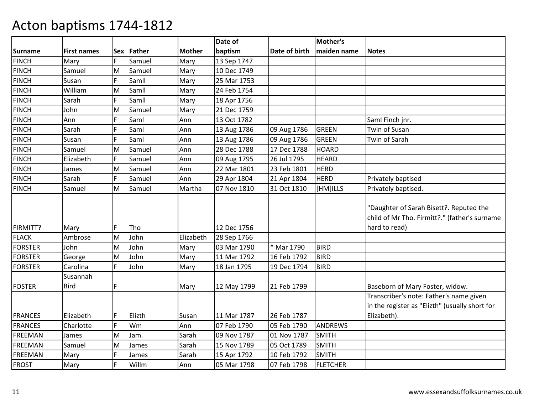|                |                         |            |        |               | Date of     |               | Mother's        |                                                                                                           |
|----------------|-------------------------|------------|--------|---------------|-------------|---------------|-----------------|-----------------------------------------------------------------------------------------------------------|
| <b>Surname</b> | <b>First names</b>      | <b>Sex</b> | Father | <b>Mother</b> | baptism     | Date of birth | maiden name     | <b>Notes</b>                                                                                              |
| <b>FINCH</b>   | Mary                    | F          | Samuel | Mary          | 13 Sep 1747 |               |                 |                                                                                                           |
| <b>FINCH</b>   | Samuel                  | M          | Samuel | Mary          | 10 Dec 1749 |               |                 |                                                                                                           |
| <b>FINCH</b>   | Susan                   | E          | Samll  | Mary          | 25 Mar 1753 |               |                 |                                                                                                           |
| FINCH          | William                 | M          | Samll  | Mary          | 24 Feb 1754 |               |                 |                                                                                                           |
| <b>FINCH</b>   | Sarah                   | F          | Samll  | Mary          | 18 Apr 1756 |               |                 |                                                                                                           |
| <b>FINCH</b>   | John                    | M          | Samuel | Mary          | 21 Dec 1759 |               |                 |                                                                                                           |
| <b>FINCH</b>   | Ann                     | F          | Saml   | Ann           | 13 Oct 1782 |               |                 | Saml Finch jnr.                                                                                           |
| <b>FINCH</b>   | Sarah                   | F          | Saml   | Ann           | 13 Aug 1786 | 09 Aug 1786   | <b>GREEN</b>    | Twin of Susan                                                                                             |
| <b>FINCH</b>   | Susan                   | F          | Saml   | Ann           | 13 Aug 1786 | 09 Aug 1786   | <b>GREEN</b>    | Twin of Sarah                                                                                             |
| <b>FINCH</b>   | Samuel                  | M          | Samuel | Ann           | 28 Dec 1788 | 17 Dec 1788   | <b>HOARD</b>    |                                                                                                           |
| <b>FINCH</b>   | Elizabeth               | F.         | Samuel | Ann           | 09 Aug 1795 | 26 Jul 1795   | <b>HEARD</b>    |                                                                                                           |
| <b>FINCH</b>   | James                   | M          | Samuel | Ann           | 22 Mar 1801 | 23 Feb 1801   | <b>HERD</b>     |                                                                                                           |
| <b>FINCH</b>   | Sarah                   | F          | Samuel | Ann           | 29 Apr 1804 | 21 Apr 1804   | <b>HERD</b>     | Privately baptised                                                                                        |
| <b>FINCH</b>   | Samuel                  | M          | Samuel | Martha        | 07 Nov 1810 | 31 Oct 1810   | [HM]ILLS        | Privately baptised.                                                                                       |
| FIRMITT?       | Mary                    | F          | Tho    |               | 12 Dec 1756 |               |                 | "Daughter of Sarah Bisett?. Reputed the<br>child of Mr Tho. Firmitt?." (father's surname<br>hard to read) |
| <b>FLACK</b>   | Ambrose                 | M          | John   | Elizabeth     | 28 Sep 1766 |               |                 |                                                                                                           |
| <b>FORSTER</b> | John                    | M          | John   | Mary          | 03 Mar 1790 | * Mar 1790    | <b>BIRD</b>     |                                                                                                           |
| <b>FORSTER</b> | George                  | M          | John   | Mary          | 11 Mar 1792 | 16 Feb 1792   | <b>BIRD</b>     |                                                                                                           |
| <b>FORSTER</b> | Carolina                | F.         | John   | Mary          | 18 Jan 1795 | 19 Dec 1794   | <b>BIRD</b>     |                                                                                                           |
| <b>FOSTER</b>  | Susannah<br><b>Bird</b> | F          |        | Mary          | 12 May 1799 | 21 Feb 1799   |                 | Baseborn of Mary Foster, widow.                                                                           |
| <b>FRANCES</b> | Elizabeth               | F          | Elizth | Susan         | 11 Mar 1787 | 26 Feb 1787   |                 | Transcriber's note: Father's name given<br>in the register as "Elizth" (usually short for<br>Elizabeth).  |
| <b>FRANCES</b> | Charlotte               | F          | Wm     | Ann           | 07 Feb 1790 | 05 Feb 1790   | <b>ANDREWS</b>  |                                                                                                           |
| <b>FREEMAN</b> | James                   | M          | Jam.   | Sarah         | 09 Nov 1787 | 01 Nov 1787   | <b>SMITH</b>    |                                                                                                           |
| <b>FREEMAN</b> | Samuel                  | M          | James  | Sarah         | 15 Nov 1789 | 05 Oct 1789   | <b>SMITH</b>    |                                                                                                           |
| <b>FREEMAN</b> | Mary                    | F          | James  | Sarah         | 15 Apr 1792 | 10 Feb 1792   | <b>SMITH</b>    |                                                                                                           |
| <b>FROST</b>   | Mary                    | F          | Willm  | Ann           | 05 Mar 1798 | 07 Feb 1798   | <b>FLETCHER</b> |                                                                                                           |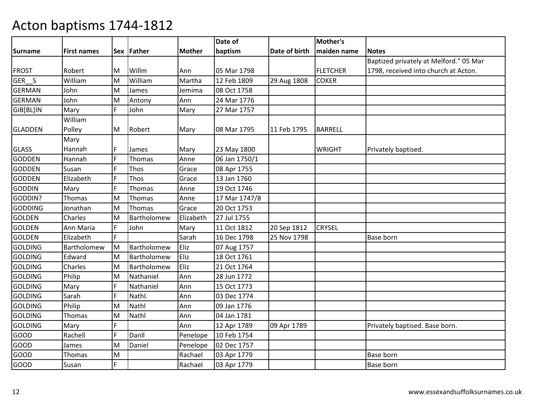|                |                    |    |             |               | Date of       |               | Mother's        |                                        |
|----------------|--------------------|----|-------------|---------------|---------------|---------------|-----------------|----------------------------------------|
| <b>Surname</b> | <b>First names</b> |    | Sex Father  | <b>Mother</b> | baptism       | Date of birth | maiden name     | <b>Notes</b>                           |
|                |                    |    |             |               |               |               |                 | Baptized privately at Melford." 05 Mar |
| <b>FROST</b>   | Robert             | M  | Willm       | Ann           | 05 Mar 1798   |               | <b>FLETCHER</b> | 1798, received into church at Acton.   |
| GER S          | William            | M  | William     | Martha        | 12 Feb 1809   | 29 Aug 1808   | <b>COKER</b>    |                                        |
| <b>GERMAN</b>  | John               | M  | James       | Jemima        | 08 Oct 1758   |               |                 |                                        |
| <b>GERMAN</b>  | John               | M  | Antony      | Ann           | 24 Mar 1776   |               |                 |                                        |
| GIB[BL]IN      | Mary               | F. | John        | Mary          | 27 Mar 1757   |               |                 |                                        |
|                | William            |    |             |               |               |               |                 |                                        |
| <b>GLADDEN</b> | Polley             | M  | Robert      | Mary          | 08 Mar 1795   | 11 Feb 1795   | <b>BARRELL</b>  |                                        |
|                | Mary               |    |             |               |               |               |                 |                                        |
| <b>GLASS</b>   | Hannah             | F  | James       | Mary          | 23 May 1800   |               | <b>WRIGHT</b>   | Privately baptised.                    |
| <b>GODDEN</b>  | Hannah             | F  | Thomas      | Anne          | 06 Jan 1750/1 |               |                 |                                        |
| <b>GODDEN</b>  | Susan              | F  | Thos        | Grace         | 08 Apr 1755   |               |                 |                                        |
| <b>GODDEN</b>  | Elizabeth          | F  | Thos        | Grace         | 13 Jan 1760   |               |                 |                                        |
| <b>GODDIN</b>  | Mary               | F  | Thomas      | Anne          | 19 Oct 1746   |               |                 |                                        |
| GODDIN?        | Thomas             | M  | Thomas      | Anne          | 17 Mar 1747/8 |               |                 |                                        |
| <b>GODDING</b> | Jonathan           | M  | Thomas      | Grace         | 20 Oct 1753   |               |                 |                                        |
| <b>GOLDEN</b>  | Charles            | M  | Bartholomew | Elizabeth     | 27 Jul 1755   |               |                 |                                        |
| <b>GOLDEN</b>  | Ann Maria          | F  | John        | Mary          | 11 Oct 1812   | 20 Sep 1812   | <b>CRYSEL</b>   |                                        |
| <b>GOLDEN</b>  | Elizabeth          | F. |             | Sarah         | 16 Dec 1798   | 25 Nov 1798   |                 | Base born                              |
| <b>GOLDING</b> | Bartholomew        | M  | Bartholomew | Eliz          | 07 Aug 1757   |               |                 |                                        |
| <b>GOLDING</b> | Edward             | M  | Bartholomew | Eliz          | 18 Oct 1761   |               |                 |                                        |
| <b>GOLDING</b> | Charles            | M  | Bartholomew | Eliz          | 21 Oct 1764   |               |                 |                                        |
| <b>GOLDING</b> | Philip             | M  | Nathaniel   | Ann           | 28 Jun 1772   |               |                 |                                        |
| <b>GOLDING</b> | Mary               | F  | Nathaniel   | Ann           | 15 Oct 1773   |               |                 |                                        |
| <b>GOLDING</b> | Sarah              | Ë  | Nathl.      | Ann           | 03 Dec 1774   |               |                 |                                        |
| <b>GOLDING</b> | Philip             | M  | Nathl       | Ann           | 09 Jan 1776   |               |                 |                                        |
| <b>GOLDING</b> | Thomas             | M  | Nathl       | Ann           | 04 Jan 1781   |               |                 |                                        |
| <b>GOLDING</b> | Mary               | F  |             | Ann           | 12 Apr 1789   | 09 Apr 1789   |                 | Privately baptised. Base born.         |
| <b>GOOD</b>    | Rachell            | F  | Danll       | Penelope      | 10 Feb 1754   |               |                 |                                        |
| GOOD           | James              | M  | Daniel      | Penelope      | 02 Dec 1757   |               |                 |                                        |
| GOOD           | Thomas             | M  |             | Rachael       | 03 Apr 1779   |               |                 | Base born                              |
| GOOD           | Susan              | F. |             | Rachael       | 03 Apr 1779   |               |                 | Base born                              |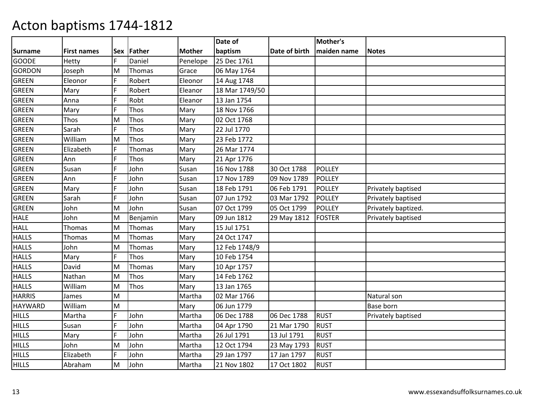|                |             |            |          |               | Date of        |               | Mother's      |                     |
|----------------|-------------|------------|----------|---------------|----------------|---------------|---------------|---------------------|
| <b>Surname</b> | First names | <b>Sex</b> | Father   | <b>Mother</b> | baptism        | Date of birth | maiden name   | <b>Notes</b>        |
| <b>GOODE</b>   | Hetty       | F.         | Daniel   | Penelope      | 25 Dec 1761    |               |               |                     |
| <b>GORDON</b>  | Joseph      | M          | Thomas   | Grace         | 06 May 1764    |               |               |                     |
| <b>GREEN</b>   | Eleonor     | F          | Robert   | Eleonor       | 14 Aug 1748    |               |               |                     |
| <b>GREEN</b>   | Mary        | F          | Robert   | Eleanor       | 18 Mar 1749/50 |               |               |                     |
| <b>GREEN</b>   | Anna        | F          | Robt     | Eleanor       | 13 Jan 1754    |               |               |                     |
| <b>GREEN</b>   | Mary        | Ē          | Thos     | Mary          | 18 Nov 1766    |               |               |                     |
| <b>GREEN</b>   | Thos        | M          | Thos     | Mary          | 02 Oct 1768    |               |               |                     |
| <b>GREEN</b>   | Sarah       | F          | Thos     | Mary          | 22 Jul 1770    |               |               |                     |
| <b>GREEN</b>   | William     | M          | Thos     | Mary          | 23 Feb 1772    |               |               |                     |
| <b>GREEN</b>   | Elizabeth   | F          | Thomas   | Mary          | 26 Mar 1774    |               |               |                     |
| <b>GREEN</b>   | Ann         | Ē          | Thos     | Mary          | 21 Apr 1776    |               |               |                     |
| <b>GREEN</b>   | Susan       | F          | John     | Susan         | 16 Nov 1788    | 30 Oct 1788   | <b>POLLEY</b> |                     |
| <b>GREEN</b>   | Ann         | F          | John     | Susan         | 17 Nov 1789    | 09 Nov 1789   | <b>POLLEY</b> |                     |
| <b>GREEN</b>   | Mary        | F          | John     | Susan         | 18 Feb 1791    | 06 Feb 1791   | <b>POLLEY</b> | Privately baptised  |
| <b>GREEN</b>   | Sarah       | F          | John     | Susan         | 07 Jun 1792    | 03 Mar 1792   | <b>POLLEY</b> | Privately baptised  |
| <b>GREEN</b>   | John        | M          | John     | Susan         | 07 Oct 1799    | 05 Oct 1799   | <b>POLLEY</b> | Privately baptized. |
| <b>HALE</b>    | John        | M          | Benjamin | Mary          | 09 Jun 1812    | 29 May 1812   | FOSTER        | Privately baptised  |
| <b>HALL</b>    | Thomas      | M          | Thomas   | Mary          | 15 Jul 1751    |               |               |                     |
| <b>HALLS</b>   | Thomas      | M          | Thomas   | Mary          | 24 Oct 1747    |               |               |                     |
| <b>HALLS</b>   | John        | M          | Thomas   | Mary          | 12 Feb 1748/9  |               |               |                     |
| <b>HALLS</b>   | Mary        | F          | Thos     | Mary          | 10 Feb 1754    |               |               |                     |
| <b>HALLS</b>   | David       | M          | Thomas   | Mary          | 10 Apr 1757    |               |               |                     |
| <b>HALLS</b>   | Nathan      | M          | Thos     | Mary          | 14 Feb 1762    |               |               |                     |
| <b>HALLS</b>   | William     | M          | Thos     | Mary          | 13 Jan 1765    |               |               |                     |
| <b>HARRIS</b>  | James       | M          |          | Martha        | 02 Mar 1766    |               |               | Natural son         |
| <b>HAYWARD</b> | William     | M          |          | Mary          | 06 Jun 1779    |               |               | <b>Base born</b>    |
| <b>HILLS</b>   | Martha      | F          | John     | Martha        | 06 Dec 1788    | 06 Dec 1788   | <b>RUST</b>   | Privately baptised  |
| <b>HILLS</b>   | Susan       | F          | John     | Martha        | 04 Apr 1790    | 21 Mar 1790   | <b>RUST</b>   |                     |
| <b>HILLS</b>   | Mary        | F          | John     | Martha        | 26 Jul 1791    | 13 Jul 1791   | <b>RUST</b>   |                     |
| <b>HILLS</b>   | John        | M          | John     | Martha        | 12 Oct 1794    | 23 May 1793   | <b>RUST</b>   |                     |
| <b>HILLS</b>   | Elizabeth   | F          | John     | Martha        | 29 Jan 1797    | 17 Jan 1797   | <b>RUST</b>   |                     |
| <b>HILLS</b>   | Abraham     | M          | John     | Martha        | 21 Nov 1802    | 17 Oct 1802   | <b>RUST</b>   |                     |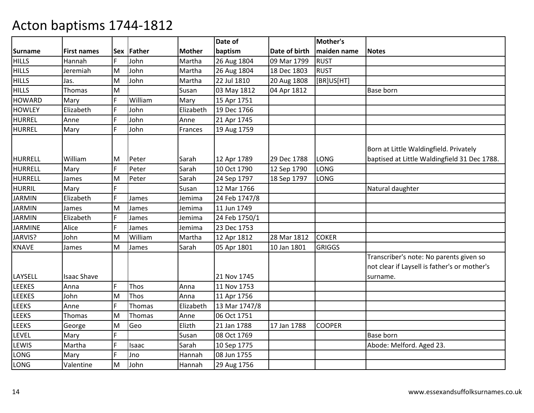|                |                    |    |             |               | Date of       |               | Mother's      |                                                                                         |
|----------------|--------------------|----|-------------|---------------|---------------|---------------|---------------|-----------------------------------------------------------------------------------------|
| <b>Surname</b> | <b>First names</b> |    | Sex Father  | <b>Mother</b> | baptism       | Date of birth | maiden name   | <b>Notes</b>                                                                            |
| <b>HILLS</b>   | Hannah             | F  | John        | Martha        | 26 Aug 1804   | 09 Mar 1799   | <b>RUST</b>   |                                                                                         |
| <b>HILLS</b>   | Jeremiah           | M  | John        | Martha        | 26 Aug 1804   | 18 Dec 1803   | <b>RUST</b>   |                                                                                         |
| <b>HILLS</b>   | Jas.               | M  | John        | Martha        | 22 Jul 1810   | 20 Aug 1808   | [BR]US[HT]    |                                                                                         |
| <b>HILLS</b>   | Thomas             | M  |             | Susan         | 03 May 1812   | 04 Apr 1812   |               | Base born                                                                               |
| <b>HOWARD</b>  | Mary               | F  | William     | Mary          | 15 Apr 1751   |               |               |                                                                                         |
| <b>HOWLEY</b>  | Elizabeth          | F  | John        | Elizabeth     | 19 Dec 1766   |               |               |                                                                                         |
| <b>HURREL</b>  | Anne               | F  | John        | Anne          | 21 Apr 1745   |               |               |                                                                                         |
| <b>HURREL</b>  | Mary               | F  | John        | Frances       | 19 Aug 1759   |               |               |                                                                                         |
|                |                    |    |             |               |               |               |               | Born at Little Waldingfield. Privately                                                  |
| <b>HURRELL</b> | William            | M  | Peter       | Sarah         | 12 Apr 1789   | 29 Dec 1788   | LONG          | baptised at Little Waldingfield 31 Dec 1788.                                            |
| <b>HURRELL</b> | Mary               | F  | Peter       | Sarah         | 10 Oct 1790   | 12 Sep 1790   | LONG          |                                                                                         |
| <b>HURRELL</b> | James              | M  | Peter       | Sarah         | 24 Sep 1797   | 18 Sep 1797   | <b>LONG</b>   |                                                                                         |
| <b>HURRIL</b>  | Mary               | F  |             | Susan         | 12 Mar 1766   |               |               | Natural daughter                                                                        |
| <b>JARMIN</b>  | Elizabeth          | F  | James       | Jemima        | 24 Feb 1747/8 |               |               |                                                                                         |
| <b>JARMIN</b>  | James              | M  | James       | Jemima        | 11 Jun 1749   |               |               |                                                                                         |
| <b>JARMIN</b>  | Elizabeth          | F  | James       | Jemima        | 24 Feb 1750/1 |               |               |                                                                                         |
| <b>JARMINE</b> | Alice              | F  | James       | Jemima        | 23 Dec 1753   |               |               |                                                                                         |
| JARVIS?        | John               | M  | William     | Martha        | 12 Apr 1812   | 28 Mar 1812   | <b>COKER</b>  |                                                                                         |
| <b>KNAVE</b>   | James              | M  | James       | Sarah         | 05 Apr 1801   | 10 Jan 1801   | <b>GRIGGS</b> |                                                                                         |
|                |                    |    |             |               |               |               |               | Transcriber's note: No parents given so<br>not clear if Laysell is father's or mother's |
| LAYSELL        | <b>Isaac Shave</b> |    |             |               | 21 Nov 1745   |               |               | surname.                                                                                |
| <b>LEEKES</b>  | Anna               | F. | Thos        | Anna          | 11 Nov 1753   |               |               |                                                                                         |
| <b>LEEKES</b>  | John               | M  | <b>Thos</b> | Anna          | 11 Apr 1756   |               |               |                                                                                         |
| <b>LEEKS</b>   | Anne               | F  | Thomas      | Elizabeth     | 13 Mar 1747/8 |               |               |                                                                                         |
| <b>LEEKS</b>   | Thomas             | M  | Thomas      | Anne          | 06 Oct 1751   |               |               |                                                                                         |
| <b>LEEKS</b>   | George             | M  | Geo         | Elizth        | 21 Jan 1788   | 17 Jan 1788   | <b>COOPER</b> |                                                                                         |
| LEVEL          | Mary               | F. |             | Susan         | 08 Oct 1769   |               |               | Base born                                                                               |
| LEWIS          | Martha             | F  | Isaac       | Sarah         | 10 Sep 1775   |               |               | Abode: Melford. Aged 23.                                                                |
| LONG           | Mary               | F  | Jno         | Hannah        | 08 Jun 1755   |               |               |                                                                                         |
| <b>LONG</b>    | Valentine          | M  | John        | Hannah        | 29 Aug 1756   |               |               |                                                                                         |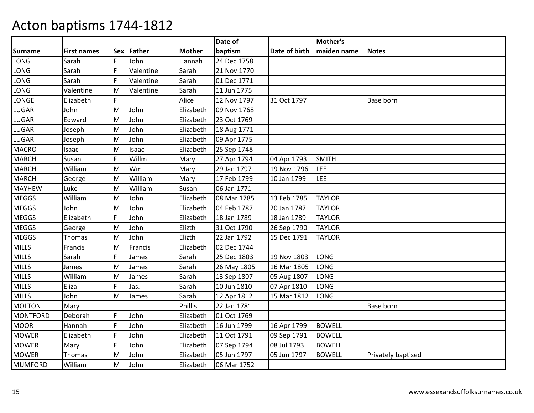|                 |                    |    |            |               | Date of     |               | Mother's      |                    |
|-----------------|--------------------|----|------------|---------------|-------------|---------------|---------------|--------------------|
| <b>Surname</b>  | <b>First names</b> |    | Sex Father | <b>Mother</b> | baptism     | Date of birth | maiden name   | <b>Notes</b>       |
| LONG            | Sarah              | F  | John       | Hannah        | 24 Dec 1758 |               |               |                    |
| LONG            | Sarah              | F  | Valentine  | Sarah         | 21 Nov 1770 |               |               |                    |
| LONG            | Sarah              | F  | Valentine  | Sarah         | 01 Dec 1771 |               |               |                    |
| LONG            | Valentine          | M  | Valentine  | Sarah         | 11 Jun 1775 |               |               |                    |
| LONGE           | Elizabeth          | F  |            | Alice         | 12 Nov 1797 | 31 Oct 1797   |               | Base born          |
| LUGAR           | John               | M  | John       | Elizabeth     | 09 Nov 1768 |               |               |                    |
| LUGAR           | Edward             | M  | John       | Elizabeth     | 23 Oct 1769 |               |               |                    |
| LUGAR           | Joseph             | M  | John       | Elizabeth     | 18 Aug 1771 |               |               |                    |
| LUGAR           | Joseph             | M  | John       | Elizabeth     | 09 Apr 1775 |               |               |                    |
| <b>MACRO</b>    | Isaac              | M  | Isaac      | Elizabeth     | 25 Sep 1748 |               |               |                    |
| <b>MARCH</b>    | Susan              | F. | Willm      | Mary          | 27 Apr 1794 | 04 Apr 1793   | <b>SMITH</b>  |                    |
| <b>MARCH</b>    | William            | M  | Wm         | Mary          | 29 Jan 1797 | 19 Nov 1796   | LEE           |                    |
| <b>MARCH</b>    | George             | M  | William    | Mary          | 17 Feb 1799 | 10 Jan 1799   | LEE           |                    |
| <b>MAYHEW</b>   | Luke               | M  | William    | Susan         | 06 Jan 1771 |               |               |                    |
| <b>MEGGS</b>    | William            | M  | John       | Elizabeth     | 08 Mar 1785 | 13 Feb 1785   | <b>TAYLOR</b> |                    |
| <b>MEGGS</b>    | John               | M  | John       | Elizabeth     | 04 Feb 1787 | 20 Jan 1787   | <b>TAYLOR</b> |                    |
| <b>MEGGS</b>    | Elizabeth          | F  | John       | Elizabeth     | 18 Jan 1789 | 18 Jan 1789   | <b>TAYLOR</b> |                    |
| <b>MEGGS</b>    | George             | M  | John       | Elizth        | 31 Oct 1790 | 26 Sep 1790   | <b>TAYLOR</b> |                    |
| <b>MEGGS</b>    | Thomas             | M  | John       | Elizth        | 22 Jan 1792 | 15 Dec 1791   | <b>TAYLOR</b> |                    |
| <b>MILLS</b>    | Francis            | M  | Francis    | Elizabeth     | 02 Dec 1744 |               |               |                    |
| <b>MILLS</b>    | Sarah              | F. | James      | Sarah         | 25 Dec 1803 | 19 Nov 1803   | LONG          |                    |
| <b>MILLS</b>    | James              | M  | James      | Sarah         | 26 May 1805 | 16 Mar 1805   | LONG          |                    |
| <b>MILLS</b>    | William            | M  | James      | Sarah         | 13 Sep 1807 | 05 Aug 1807   | LONG          |                    |
| <b>MILLS</b>    | Eliza              | F  | Jas.       | Sarah         | 10 Jun 1810 | 07 Apr 1810   | LONG          |                    |
| <b>MILLS</b>    | John               | M  | James      | Sarah         | 12 Apr 1812 | 15 Mar 1812   | LONG          |                    |
| <b>MOLTON</b>   | Mary               |    |            | Phillis       | 22 Jan 1781 |               |               | Base born          |
| <b>MONTFORD</b> | Deborah            | Ē  | John       | Elizabeth     | 01 Oct 1769 |               |               |                    |
| <b>MOOR</b>     | Hannah             | F  | John       | Elizabeth     | 16 Jun 1799 | 16 Apr 1799   | <b>BOWELL</b> |                    |
| <b>MOWER</b>    | Elizabeth          | F  | John       | Elizabeth     | 11 Oct 1791 | 09 Sep 1791   | <b>BOWELL</b> |                    |
| <b>MOWER</b>    | Mary               | F  | John       | Elizabeth     | 07 Sep 1794 | 08 Jul 1793   | <b>BOWELL</b> |                    |
| <b>MOWER</b>    | Thomas             | M  | John       | Elizabeth     | 05 Jun 1797 | 05 Jun 1797   | <b>BOWELL</b> | Privately baptised |
| <b>MUMFORD</b>  | William            | M  | John       | Elizabeth     | 06 Mar 1752 |               |               |                    |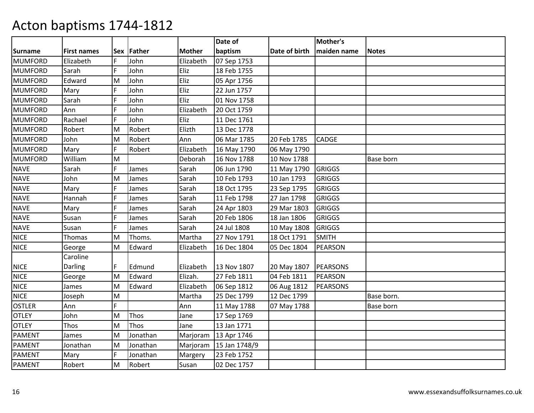|                |                    |    |            |               | Date of       |               | Mother's        |                  |
|----------------|--------------------|----|------------|---------------|---------------|---------------|-----------------|------------------|
| <b>Surname</b> | <b>First names</b> |    | Sex Father | <b>Mother</b> | baptism       | Date of birth | maiden name     | <b>Notes</b>     |
| <b>MUMFORD</b> | Elizabeth          |    | John       | Elizabeth     | 07 Sep 1753   |               |                 |                  |
| <b>MUMFORD</b> | Sarah              | F  | John       | Eliz          | 18 Feb 1755   |               |                 |                  |
| <b>MUMFORD</b> | Edward             | M  | John       | Eliz          | 05 Apr 1756   |               |                 |                  |
| <b>MUMFORD</b> | Mary               | F  | John       | Eliz          | 22 Jun 1757   |               |                 |                  |
| <b>MUMFORD</b> | Sarah              |    | John       | Eliz          | 01 Nov 1758   |               |                 |                  |
| <b>MUMFORD</b> | Ann                | E  | John       | Elizabeth     | 20 Oct 1759   |               |                 |                  |
| <b>MUMFORD</b> | Rachael            | F  | John       | Eliz          | 11 Dec 1761   |               |                 |                  |
| <b>MUMFORD</b> | Robert             | M  | Robert     | Elizth        | 13 Dec 1778   |               |                 |                  |
| <b>MUMFORD</b> | John               | M  | Robert     | Ann           | 06 Mar 1785   | 20 Feb 1785   | <b>CADGE</b>    |                  |
| <b>MUMFORD</b> | Mary               | F  | Robert     | Elizabeth     | 16 May 1790   | 06 May 1790   |                 |                  |
| <b>MUMFORD</b> | William            | M  |            | Deborah       | 16 Nov 1788   | 10 Nov 1788   |                 | <b>Base born</b> |
| <b>NAVE</b>    | Sarah              | F  | James      | Sarah         | 06 Jun 1790   | 11 May 1790   | <b>GRIGGS</b>   |                  |
| <b>NAVE</b>    | John               | M  | James      | Sarah         | 10 Feb 1793   | 10 Jan 1793   | <b>GRIGGS</b>   |                  |
| <b>NAVE</b>    | Mary               |    | James      | Sarah         | 18 Oct 1795   | 23 Sep 1795   | <b>GRIGGS</b>   |                  |
| <b>NAVE</b>    | Hannah             |    | James      | Sarah         | 11 Feb 1798   | 27 Jan 1798   | <b>GRIGGS</b>   |                  |
| <b>NAVE</b>    | Mary               | F  | James      | Sarah         | 24 Apr 1803   | 29 Mar 1803   | <b>GRIGGS</b>   |                  |
| <b>NAVE</b>    | Susan              | F  | James      | Sarah         | 20 Feb 1806   | 18 Jan 1806   | <b>GRIGGS</b>   |                  |
| <b>NAVE</b>    | Susan              | F  | James      | Sarah         | 24 Jul 1808   | 10 May 1808   | <b>GRIGGS</b>   |                  |
| <b>NICE</b>    | Thomas             | M  | Thoms.     | Martha        | 27 Nov 1791   | 18 Oct 1791   | <b>SMITH</b>    |                  |
| <b>NICE</b>    | George             | M  | Edward     | Elizabeth     | 16 Dec 1804   | 05 Dec 1804   | <b>PEARSON</b>  |                  |
|                | Caroline           |    |            |               |               |               |                 |                  |
| <b>NICE</b>    | Darling            | F. | Edmund     | Elizabeth     | 13 Nov 1807   | 20 May 1807   | <b>PEARSONS</b> |                  |
| <b>NICE</b>    | George             | M  | Edward     | Elizah.       | 27 Feb 1811   | 04 Feb 1811   | <b>PEARSON</b>  |                  |
| <b>NICE</b>    | James              | M  | Edward     | Elizabeth     | 06 Sep 1812   | 06 Aug 1812   | <b>PEARSONS</b> |                  |
| <b>NICE</b>    | Joseph             | M  |            | Martha        | 25 Dec 1799   | 12 Dec 1799   |                 | Base born.       |
| <b>OSTLER</b>  | Ann                | F. |            | Ann           | 11 May 1788   | 07 May 1788   |                 | <b>Base born</b> |
| <b>OTLEY</b>   | John               | M  | Thos       | Jane          | 17 Sep 1769   |               |                 |                  |
| <b>OTLEY</b>   | Thos               | M  | Thos       | Jane          | 13 Jan 1771   |               |                 |                  |
| <b>PAMENT</b>  | James              | M  | Jonathan   | Marjoram      | 13 Apr 1746   |               |                 |                  |
| <b>PAMENT</b>  | Jonathan           | M  | Jonathan   | Marjoram      | 15 Jan 1748/9 |               |                 |                  |
| <b>PAMENT</b>  | Mary               | F  | Jonathan   | Margery       | 23 Feb 1752   |               |                 |                  |
| PAMENT         | Robert             | M  | Robert     | Susan         | 02 Dec 1757   |               |                 |                  |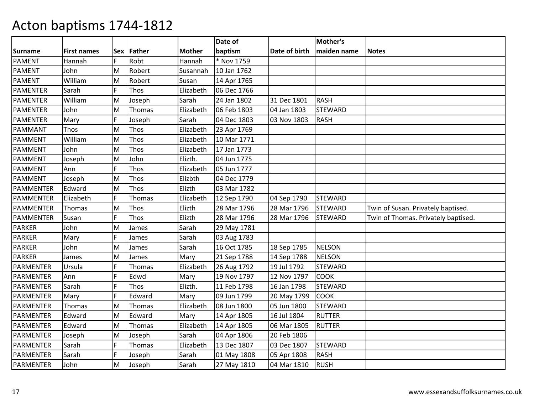|                  |                    |            |             |               | Date of     |               | Mother's       |                                     |
|------------------|--------------------|------------|-------------|---------------|-------------|---------------|----------------|-------------------------------------|
| <b>Surname</b>   | <b>First names</b> | <b>Sex</b> | Father      | <b>Mother</b> | baptism     | Date of birth | maiden name    | <b>Notes</b>                        |
| <b>PAMENT</b>    | Hannah             | F          | Robt        | Hannah        | * Nov 1759  |               |                |                                     |
| <b>PAMENT</b>    | John               | M          | Robert      | Susannah      | 10 Jan 1762 |               |                |                                     |
| <b>PAMENT</b>    | William            | M          | Robert      | Susan         | 14 Apr 1765 |               |                |                                     |
| <b>PAMENTER</b>  | Sarah              | F          | Thos        | Elizabeth     | 06 Dec 1766 |               |                |                                     |
| PAMENTER         | William            | M          | Joseph      | Sarah         | 24 Jan 1802 | 31 Dec 1801   | <b>RASH</b>    |                                     |
| <b>PAMENTER</b>  | John               | M          | Thomas      | Elizabeth     | 06 Feb 1803 | 04 Jan 1803   | <b>STEWARD</b> |                                     |
| <b>PAMENTER</b>  | Mary               | F          | Joseph      | Sarah         | 04 Dec 1803 | 03 Nov 1803   | <b>RASH</b>    |                                     |
| PAMMANT          | Thos               | M          | <b>Thos</b> | Elizabeth     | 23 Apr 1769 |               |                |                                     |
| <b>PAMMENT</b>   | William            | M          | Thos        | Elizabeth     | 10 Mar 1771 |               |                |                                     |
| <b>PAMMENT</b>   | John               | M          | Thos        | Elizabeth     | 17 Jan 1773 |               |                |                                     |
| <b>PAMMENT</b>   | Joseph             | M          | John        | Elizth.       | 04 Jun 1775 |               |                |                                     |
| <b>PAMMENT</b>   | Ann                | F          | Thos        | Elizabeth     | 05 Jun 1777 |               |                |                                     |
| PAMMENT          | Joseph             | M          | <b>Thos</b> | Elizbth       | 04 Dec 1779 |               |                |                                     |
| PAMMENTER        | Edward             | M          | Thos        | Elizth        | 03 Mar 1782 |               |                |                                     |
| PAMMENTER        | Elizabeth          | F          | Thomas      | Elizabeth     | 12 Sep 1790 | 04 Sep 1790   | <b>STEWARD</b> |                                     |
| <b>PAMMENTER</b> | Thomas             | M          | <b>Thos</b> | Elizth        | 28 Mar 1796 | 28 Mar 1796   | <b>STEWARD</b> | Twin of Susan. Privately baptised.  |
| PAMMENTER        | Susan              | F          | Thos        | Elizth        | 28 Mar 1796 | 28 Mar 1796   | <b>STEWARD</b> | Twin of Thomas. Privately baptised. |
| PARKER           | John               | M          | James       | Sarah         | 29 May 1781 |               |                |                                     |
| <b>PARKER</b>    | Mary               | F          | James       | Sarah         | 03 Aug 1783 |               |                |                                     |
| <b>PARKER</b>    | John               | M          | James       | Sarah         | 16 Oct 1785 | 18 Sep 1785   | <b>NELSON</b>  |                                     |
| <b>PARKER</b>    | James              | M          | James       | Mary          | 21 Sep 1788 | 14 Sep 1788   | <b>NELSON</b>  |                                     |
| PARMENTER        | Ursula             | F          | Thomas      | Elizabeth     | 26 Aug 1792 | 19 Jul 1792   | <b>STEWARD</b> |                                     |
| <b>PARMENTER</b> | Ann                | Ē          | Edwd        | Mary          | 19 Nov 1797 | 12 Nov 1797   | <b>COOK</b>    |                                     |
| PARMENTER        | Sarah              | F          | Thos        | Elizth.       | 11 Feb 1798 | 16 Jan 1798   | <b>STEWARD</b> |                                     |
| PARMENTER        | Mary               | F          | Edward      | Mary          | 09 Jun 1799 | 20 May 1799   | <b>COOK</b>    |                                     |
| <b>PARMENTER</b> | Thomas             | M          | Thomas      | Elizabeth     | 08 Jun 1800 | 05 Jun 1800   | <b>STEWARD</b> |                                     |
| PARMENTER        | Edward             | M          | Edward      | Mary          | 14 Apr 1805 | 16 Jul 1804   | <b>RUTTER</b>  |                                     |
| <b>PARMENTER</b> | Edward             | M          | Thomas      | Elizabeth     | 14 Apr 1805 | 06 Mar 1805   | <b>RUTTER</b>  |                                     |
| PARMENTER        | Joseph             | M          | Joseph      | Sarah         | 04 Apr 1806 | 20 Feb 1806   |                |                                     |
| PARMENTER        | Sarah              | F          | Thomas      | Elizabeth     | 13 Dec 1807 | 03 Dec 1807   | <b>STEWARD</b> |                                     |
| <b>PARMENTER</b> | Sarah              | F          | Joseph      | Sarah         | 01 May 1808 | 05 Apr 1808   | <b>RASH</b>    |                                     |
| PARMENTER        | John               | M          | Joseph      | Sarah         | 27 May 1810 | 04 Mar 1810   | <b>RUSH</b>    |                                     |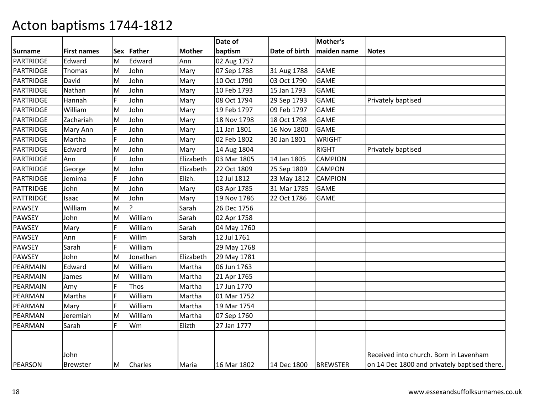|                  |                    |            |                |               | Date of     |               | Mother's        |                                              |
|------------------|--------------------|------------|----------------|---------------|-------------|---------------|-----------------|----------------------------------------------|
| Surname          | <b>First names</b> | <b>Sex</b> | Father         | <b>Mother</b> | baptism     | Date of birth | maiden name     | <b>Notes</b>                                 |
| PARTRIDGE        | Edward             | M          | Edward         | Ann           | 02 Aug 1757 |               |                 |                                              |
| <b>PARTRIDGE</b> | Thomas             | M          | John           | Mary          | 07 Sep 1788 | 31 Aug 1788   | <b>GAME</b>     |                                              |
| <b>PARTRIDGE</b> | David              | M          | John           | Mary          | 10 Oct 1790 | 03 Oct 1790   | <b>GAME</b>     |                                              |
| PARTRIDGE        | Nathan             | M          | John           | Mary          | 10 Feb 1793 | 15 Jan 1793   | <b>GAME</b>     |                                              |
| PARTRIDGE        | Hannah             | F          | John           | Mary          | 08 Oct 1794 | 29 Sep 1793   | <b>GAME</b>     | Privately baptised                           |
| PARTRIDGE        | William            | M          | John           | Mary          | 19 Feb 1797 | 09 Feb 1797   | <b>GAME</b>     |                                              |
| <b>PARTRIDGE</b> | Zachariah          | M          | John           | Mary          | 18 Nov 1798 | 18 Oct 1798   | <b>GAME</b>     |                                              |
| <b>PARTRIDGE</b> | Mary Ann           | F          | John           | Mary          | 11 Jan 1801 | 16 Nov 1800   | <b>GAME</b>     |                                              |
| <b>PARTRIDGE</b> | Martha             |            | John           | Mary          | 02 Feb 1802 | 30 Jan 1801   | <b>WRIGHT</b>   |                                              |
| PARTRIDGE        | Edward             | M          | John           | Mary          | 14 Aug 1804 |               | <b>RIGHT</b>    | Privately baptised                           |
| PARTRIDGE        | Ann                | F          | John           | Elizabeth     | 03 Mar 1805 | 14 Jan 1805   | <b>CAMPION</b>  |                                              |
| <b>PARTRIDGE</b> | George             | M          | John           | Elizabeth     | 22 Oct 1809 | 25 Sep 1809   | <b>CAMPON</b>   |                                              |
| <b>PARTRIDGE</b> | Jemima             | F          | John           | Elizh.        | 12 Jul 1812 | 23 May 1812   | <b>CAMPION</b>  |                                              |
| <b>PATTRIDGE</b> | John               | M          | John           | Mary          | 03 Apr 1785 | 31 Mar 1785   | <b>GAME</b>     |                                              |
| <b>PATTRIDGE</b> | Isaac              | M          | John           | Mary          | 19 Nov 1786 | 22 Oct 1786   | <b>GAME</b>     |                                              |
| <b>PAWSEY</b>    | William            | M          | 2              | Sarah         | 26 Dec 1756 |               |                 |                                              |
| <b>PAWSEY</b>    | John               | M          | William        | Sarah         | 02 Apr 1758 |               |                 |                                              |
| <b>PAWSEY</b>    | Mary               | F          | William        | Sarah         | 04 May 1760 |               |                 |                                              |
| <b>PAWSEY</b>    | Ann                |            | Willm          | Sarah         | 12 Jul 1761 |               |                 |                                              |
| <b>PAWSEY</b>    | Sarah              | F          | William        |               | 29 May 1768 |               |                 |                                              |
| <b>PAWSEY</b>    | John               | M          | Jonathan       | Elizabeth     | 29 May 1781 |               |                 |                                              |
| PEARMAIN         | Edward             | M          | William        | Martha        | 06 Jun 1763 |               |                 |                                              |
| PEARMAIN         | James              | M          | William        | Martha        | 21 Apr 1765 |               |                 |                                              |
| PEARMAIN         | Amy                | F          | Thos           | Martha        | 17 Jun 1770 |               |                 |                                              |
| PEARMAN          | Martha             |            | William        | Martha        | 01 Mar 1752 |               |                 |                                              |
| PEARMAN          | Mary               | F          | William        | Martha        | 19 Mar 1754 |               |                 |                                              |
| PEARMAN          | Jeremiah           | M          | William        | Martha        | 07 Sep 1760 |               |                 |                                              |
| PEARMAN          | Sarah              |            | Wm             | Elizth        | 27 Jan 1777 |               |                 |                                              |
|                  |                    |            |                |               |             |               |                 |                                              |
|                  |                    |            |                |               |             |               |                 |                                              |
|                  | John               |            |                |               |             |               |                 | Received into church. Born in Lavenham       |
| PEARSON          | <b>Brewster</b>    | M          | <b>Charles</b> | Maria         | 16 Mar 1802 | 14 Dec 1800   | <b>BREWSTER</b> | on 14 Dec 1800 and privately baptised there. |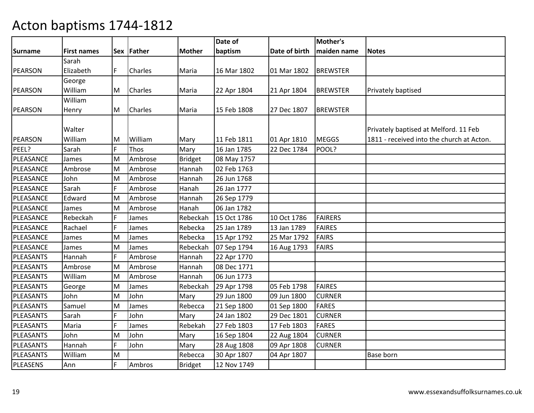|           |                    |    |                |               | Date of     |               | Mother's        |                                           |
|-----------|--------------------|----|----------------|---------------|-------------|---------------|-----------------|-------------------------------------------|
| Surname   | <b>First names</b> |    | Sex Father     | <b>Mother</b> | baptism     | Date of birth | maiden name     | <b>Notes</b>                              |
|           | Sarah              |    |                |               |             |               |                 |                                           |
| PEARSON   | Elizabeth          | F. | Charles        | Maria         | 16 Mar 1802 | 01 Mar 1802   | <b>BREWSTER</b> |                                           |
|           | George             |    |                |               |             |               |                 |                                           |
| PEARSON   | William            | M  | <b>Charles</b> | Maria         | 22 Apr 1804 | 21 Apr 1804   | <b>BREWSTER</b> | Privately baptised                        |
|           | William            |    |                |               |             |               |                 |                                           |
| PEARSON   | Henry              | M  | <b>Charles</b> | Maria         | 15 Feb 1808 | 27 Dec 1807   | <b>BREWSTER</b> |                                           |
|           |                    |    |                |               |             |               |                 |                                           |
|           | Walter             |    |                |               |             |               |                 | Privately baptised at Melford. 11 Feb     |
| PEARSON   | William            | M  | William        | Mary          | 11 Feb 1811 | 01 Apr 1810   | <b>MEGGS</b>    | 1811 - received into the church at Acton. |
| PEEL?     | Sarah              | F  | Thos           | Mary          | 16 Jan 1785 | 22 Dec 1784   | POOL?           |                                           |
| PLEASANCE | James              | M  | Ambrose        | Bridget       | 08 May 1757 |               |                 |                                           |
| PLEASANCE | Ambrose            | M  | Ambrose        | Hannah        | 02 Feb 1763 |               |                 |                                           |
| PLEASANCE | John               | M  | Ambrose        | Hannah        | 26 Jun 1768 |               |                 |                                           |
| PLEASANCE | Sarah              | F  | Ambrose        | Hanah         | 26 Jan 1777 |               |                 |                                           |
| PLEASANCE | Edward             | M  | Ambrose        | Hannah        | 26 Sep 1779 |               |                 |                                           |
| PLEASANCE | James              | M  | Ambrose        | Hanah         | 06 Jan 1782 |               |                 |                                           |
| PLEASANCE | Rebeckah           | F  | James          | Rebeckah      | 15 Oct 1786 | 10 Oct 1786   | <b>FAIRERS</b>  |                                           |
| PLEASANCE | Rachael            | F  | James          | Rebecka       | 25 Jan 1789 | 13 Jan 1789   | <b>FAIRES</b>   |                                           |
| PLEASANCE | James              | M  | James          | Rebecka       | 15 Apr 1792 | 25 Mar 1792   | <b>FAIRS</b>    |                                           |
| PLEASANCE | James              | M  | James          | Rebeckah      | 07 Sep 1794 | 16 Aug 1793   | <b>FAIRS</b>    |                                           |
| PLEASANTS | Hannah             | F  | Ambrose        | Hannah        | 22 Apr 1770 |               |                 |                                           |
| PLEASANTS | Ambrose            | M  | Ambrose        | Hannah        | 08 Dec 1771 |               |                 |                                           |
| PLEASANTS | William            | M  | Ambrose        | Hannah        | 06 Jun 1773 |               |                 |                                           |
| PLEASANTS | George             | M  | James          | Rebeckah      | 29 Apr 1798 | 05 Feb 1798   | <b>FAIRES</b>   |                                           |
| PLEASANTS | John               | M  | John           | Mary          | 29 Jun 1800 | 09 Jun 1800   | <b>CURNER</b>   |                                           |
| PLEASANTS | Samuel             | M  | James          | Rebecca       | 21 Sep 1800 | 01 Sep 1800   | <b>FARES</b>    |                                           |
| PLEASANTS | Sarah              | F  | John           | Mary          | 24 Jan 1802 | 29 Dec 1801   | <b>CURNER</b>   |                                           |
| PLEASANTS | Maria              | F  | James          | Rebekah       | 27 Feb 1803 | 17 Feb 1803   | <b>FARES</b>    |                                           |
| PLEASANTS | John               | M  | John           | Mary          | 16 Sep 1804 | 22 Aug 1804   | <b>CURNER</b>   |                                           |
| PLEASANTS | Hannah             | F  | John           | Mary          | 28 Aug 1808 | 09 Apr 1808   | <b>CURNER</b>   |                                           |
| PLEASANTS | William            | M  |                | Rebecca       | 30 Apr 1807 | 04 Apr 1807   |                 | Base born                                 |
| PLEASENS  | Ann                | F  | Ambros         | Bridget       | 12 Nov 1749 |               |                 |                                           |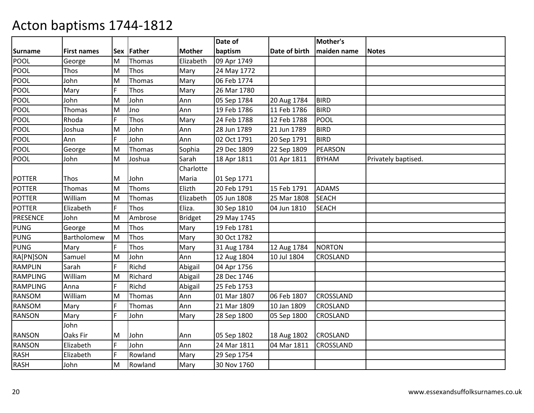|                 |                    |     |         |                | Date of     |               | Mother's        |                     |
|-----------------|--------------------|-----|---------|----------------|-------------|---------------|-----------------|---------------------|
| <b>Surname</b>  | <b>First names</b> | Sex | Father  | <b>Mother</b>  | baptism     | Date of birth | maiden name     | <b>Notes</b>        |
| POOL            | George             | M   | Thomas  | Elizabeth      | 09 Apr 1749 |               |                 |                     |
| POOL            | Thos               | M   | Thos    | Mary           | 24 May 1772 |               |                 |                     |
| POOL            | John               | M   | Thomas  | Mary           | 06 Feb 1774 |               |                 |                     |
| <b>POOL</b>     | Mary               | F   | Thos    | Mary           | 26 Mar 1780 |               |                 |                     |
| POOL            | John               | M   | John    | Ann            | 05 Sep 1784 | 20 Aug 1784   | <b>BIRD</b>     |                     |
| <b>POOL</b>     | Thomas             | M   | Jno     | Ann            | 19 Feb 1786 | 11 Feb 1786   | <b>BIRD</b>     |                     |
| POOL            | Rhoda              | F   | Thos    | Mary           | 24 Feb 1788 | 12 Feb 1788   | <b>POOL</b>     |                     |
| POOL            | Joshua             | M   | John    | Ann            | 28 Jun 1789 | 21 Jun 1789   | <b>BIRD</b>     |                     |
| <b>POOL</b>     | Ann                | F   | John    | Ann            | 02 Oct 1791 | 20 Sep 1791   | <b>BIRD</b>     |                     |
| <b>POOL</b>     | George             | M   | Thomas  | Sophia         | 29 Dec 1809 | 22 Sep 1809   | PEARSON         |                     |
| <b>POOL</b>     | John               | M   | Joshua  | Sarah          | 18 Apr 1811 | 01 Apr 1811   | <b>BYHAM</b>    | Privately baptised. |
|                 |                    |     |         | Charlotte      |             |               |                 |                     |
| <b>POTTER</b>   | Thos               | М   | John    | Maria          | 01 Sep 1771 |               |                 |                     |
| <b>POTTER</b>   | Thomas             | M   | Thoms   | Elizth         | 20 Feb 1791 | 15 Feb 1791   | <b>ADAMS</b>    |                     |
| <b>POTTER</b>   | William            | M   | Thomas  | Elizabeth      | 05 Jun 1808 | 25 Mar 1808   | <b>SEACH</b>    |                     |
| <b>POTTER</b>   | Elizabeth          | F   | Thos    | Eliza.         | 30 Sep 1810 | 04 Jun 1810   | <b>SEACH</b>    |                     |
| <b>PRESENCE</b> | John               | M   | Ambrose | <b>Bridget</b> | 29 May 1745 |               |                 |                     |
| <b>PUNG</b>     | George             | M   | Thos    | Mary           | 19 Feb 1781 |               |                 |                     |
| <b>PUNG</b>     | Bartholomew        | M   | Thos    | Mary           | 30 Oct 1782 |               |                 |                     |
| <b>PUNG</b>     | Mary               | F   | Thos    | Mary           | 31 Aug 1784 | 12 Aug 1784   | <b>NORTON</b>   |                     |
| RA[PN]SON       | Samuel             | M   | John    | Ann            | 12 Aug 1804 | 10 Jul 1804   | CROSLAND        |                     |
| <b>RAMPLIN</b>  | Sarah              | F   | Richd   | Abigail        | 04 Apr 1756 |               |                 |                     |
| <b>RAMPLING</b> | William            | M   | Richard | Abigail        | 28 Dec 1746 |               |                 |                     |
| <b>RAMPLING</b> | Anna               | F   | Richd   | Abigail        | 25 Feb 1753 |               |                 |                     |
| <b>RANSOM</b>   | William            | M   | Thomas  | Ann            | 01 Mar 1807 | 06 Feb 1807   | CROSSLAND       |                     |
| RANSOM          | Mary               | F   | Thomas  | Ann            | 21 Mar 1809 | 10 Jan 1809   | CROSLAND        |                     |
| <b>RANSON</b>   | Mary               | F   | John    | Mary           | 28 Sep 1800 | 05 Sep 1800   | <b>CROSLAND</b> |                     |
|                 | John               |     |         |                |             |               |                 |                     |
| <b>RANSON</b>   | Oaks Fir           | М   | John    | Ann            | 05 Sep 1802 | 18 Aug 1802   | <b>CROSLAND</b> |                     |
| <b>RANSON</b>   | Elizabeth          | F   | John    | Ann            | 24 Mar 1811 | 04 Mar 1811   | CROSSLAND       |                     |
| <b>RASH</b>     | Elizabeth          | F   | Rowland | Mary           | 29 Sep 1754 |               |                 |                     |
| <b>RASH</b>     | John               | M   | Rowland | Mary           | 30 Nov 1760 |               |                 |                     |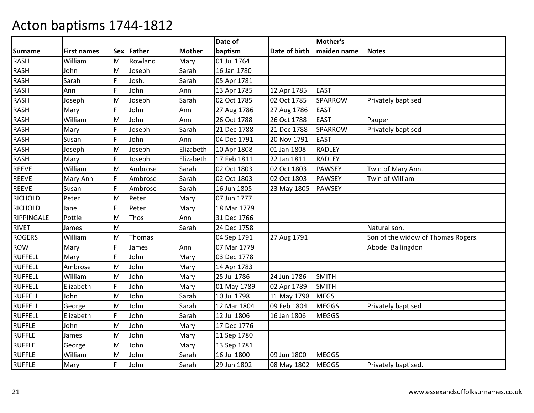|                   |                    |     |         |               | Date of     |               | Mother's       |                                    |
|-------------------|--------------------|-----|---------|---------------|-------------|---------------|----------------|------------------------------------|
| <b>Surname</b>    | <b>First names</b> | Sex | Father  | <b>Mother</b> | baptism     | Date of birth | maiden name    | <b>Notes</b>                       |
| <b>RASH</b>       | William            | M   | Rowland | Mary          | 01 Jul 1764 |               |                |                                    |
| <b>RASH</b>       | John               | M   | Joseph  | Sarah         | 16 Jan 1780 |               |                |                                    |
| <b>RASH</b>       | Sarah              | F   | Josh.   | Sarah         | 05 Apr 1781 |               |                |                                    |
| <b>RASH</b>       | Ann                | F   | John    | Ann           | 13 Apr 1785 | 12 Apr 1785   | <b>EAST</b>    |                                    |
| <b>RASH</b>       | Joseph             | M   | Joseph  | Sarah         | 02 Oct 1785 | 02 Oct 1785   | SPARROW        | Privately baptised                 |
| <b>RASH</b>       | Mary               | F   | John    | Ann           | 27 Aug 1786 | 27 Aug 1786   | <b>EAST</b>    |                                    |
| <b>RASH</b>       | William            | M   | John    | Ann           | 26 Oct 1788 | 26 Oct 1788   | <b>EAST</b>    | Pauper                             |
| <b>RASH</b>       | Mary               | F   | Joseph  | Sarah         | 21 Dec 1788 | 21 Dec 1788   | <b>SPARROW</b> | Privately baptised                 |
| <b>RASH</b>       | Susan              | F   | John    | Ann           | 04 Dec 1791 | 20 Nov 1791   | <b>EAST</b>    |                                    |
| <b>RASH</b>       | Joseph             | M   | Joseph  | Elizabeth     | 10 Apr 1808 | 01 Jan 1808   | <b>RADLEY</b>  |                                    |
| <b>RASH</b>       | Mary               | F.  | Joseph  | Elizabeth     | 17 Feb 1811 | 22 Jan 1811   | <b>RADLEY</b>  |                                    |
| <b>REEVE</b>      | William            | M   | Ambrose | Sarah         | 02 Oct 1803 | 02 Oct 1803   | <b>PAWSEY</b>  | Twin of Mary Ann.                  |
| <b>REEVE</b>      | Mary Ann           | F   | Ambrose | Sarah         | 02 Oct 1803 | 02 Oct 1803   | <b>PAWSEY</b>  | Twin of William                    |
| <b>REEVE</b>      | Susan              | F   | Ambrose | Sarah         | 16 Jun 1805 | 23 May 1805   | <b>PAWSEY</b>  |                                    |
| <b>RICHOLD</b>    | Peter              | M   | Peter   | Mary          | 07 Jun 1777 |               |                |                                    |
| <b>RICHOLD</b>    | Jane               | F.  | Peter   | Mary          | 18 Mar 1779 |               |                |                                    |
| <b>RIPPINGALE</b> | Pottle             | M   | Thos    | Ann           | 31 Dec 1766 |               |                |                                    |
| <b>RIVET</b>      | James              | M   |         | Sarah         | 24 Dec 1758 |               |                | Natural son.                       |
| <b>ROGERS</b>     | William            | M   | Thomas  |               | 04 Sep 1791 | 27 Aug 1791   |                | Son of the widow of Thomas Rogers. |
| <b>ROW</b>        | Mary               | F   | James   | Ann           | 07 Mar 1779 |               |                | Abode: Ballingdon                  |
| <b>RUFFELL</b>    | Mary               | F   | John    | Mary          | 03 Dec 1778 |               |                |                                    |
| <b>RUFFELL</b>    | Ambrose            | M   | John    | Mary          | 14 Apr 1783 |               |                |                                    |
| <b>RUFFELL</b>    | William            | M   | John    | Mary          | 25 Jul 1786 | 24 Jun 1786   | <b>SMITH</b>   |                                    |
| <b>RUFFELL</b>    | Elizabeth          | F   | John    | Mary          | 01 May 1789 | 02 Apr 1789   | <b>SMITH</b>   |                                    |
| <b>RUFFELL</b>    | John               | M   | John    | Sarah         | 10 Jul 1798 | 11 May 1798   | <b>MEGS</b>    |                                    |
| <b>RUFFELL</b>    | George             | M   | John    | Sarah         | 12 Mar 1804 | 09 Feb 1804   | <b>MEGGS</b>   | Privately baptised                 |
| <b>RUFFELL</b>    | Elizabeth          | F.  | John    | Sarah         | 12 Jul 1806 | 16 Jan 1806   | <b>MEGGS</b>   |                                    |
| <b>RUFFLE</b>     | John               | M   | John    | Mary          | 17 Dec 1776 |               |                |                                    |
| <b>RUFFLE</b>     | James              | M   | John    | Mary          | 11 Sep 1780 |               |                |                                    |
| <b>RUFFLE</b>     | George             | M   | John    | Mary          | 13 Sep 1781 |               |                |                                    |
| <b>RUFFLE</b>     | William            | M   | John    | Sarah         | 16 Jul 1800 | 09 Jun 1800   | <b>MEGGS</b>   |                                    |
| <b>RUFFLE</b>     | Mary               | F.  | John    | Sarah         | 29 Jun 1802 | 08 May 1802   | <b>MEGGS</b>   | Privately baptised.                |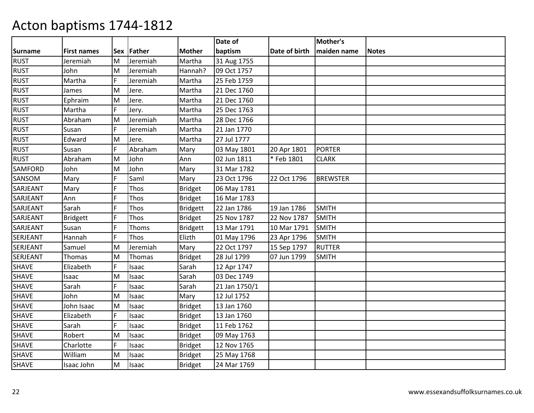|                |                    |   |            |                 | Date of       |               | Mother's        |              |
|----------------|--------------------|---|------------|-----------------|---------------|---------------|-----------------|--------------|
| <b>Surname</b> | <b>First names</b> |   | Sex Father | <b>Mother</b>   | baptism       | Date of birth | maiden name     | <b>Notes</b> |
| <b>RUST</b>    | Jeremiah           | M | Jeremiah   | Martha          | 31 Aug 1755   |               |                 |              |
| <b>RUST</b>    | John               | M | Jeremiah   | Hannah?         | 09 Oct 1757   |               |                 |              |
| <b>RUST</b>    | Martha             | F | Jeremiah   | Martha          | 25 Feb 1759   |               |                 |              |
| <b>RUST</b>    | James              | M | Jere.      | Martha          | 21 Dec 1760   |               |                 |              |
| <b>RUST</b>    | Ephraim            | M | Jere.      | Martha          | 21 Dec 1760   |               |                 |              |
| <b>RUST</b>    | Martha             | F | Jery.      | Martha          | 25 Dec 1763   |               |                 |              |
| <b>RUST</b>    | Abraham            | M | Jeremiah   | Martha          | 28 Dec 1766   |               |                 |              |
| <b>RUST</b>    | Susan              | F | Jeremiah   | Martha          | 21 Jan 1770   |               |                 |              |
| <b>RUST</b>    | Edward             | M | Jere.      | Martha          | 27 Jul 1777   |               |                 |              |
| <b>RUST</b>    | Susan              | F | Abraham    | Mary            | 03 May 1801   | 20 Apr 1801   | <b>PORTER</b>   |              |
| <b>RUST</b>    | Abraham            | M | John       | Ann             | 02 Jun 1811   | *Feb 1801     | <b>CLARK</b>    |              |
| SAMFORD        | John               | M | John       | Mary            | 31 Mar 1782   |               |                 |              |
| SANSOM         | Mary               | F | Saml       | Mary            | 23 Oct 1796   | 22 Oct 1796   | <b>BREWSTER</b> |              |
| SARJEANT       | Mary               | F | Thos       | <b>Bridget</b>  | 06 May 1781   |               |                 |              |
| SARJEANT       | Ann                | F | Thos       | <b>Bridget</b>  | 16 Mar 1783   |               |                 |              |
| SARJEANT       | Sarah              | F | Thos       | <b>Bridgett</b> | 22 Jan 1786   | 19 Jan 1786   | <b>SMITH</b>    |              |
| SARJEANT       | <b>Bridgett</b>    | F | Thos       | <b>Bridget</b>  | 25 Nov 1787   | 22 Nov 1787   | <b>SMITH</b>    |              |
| SARJEANT       | Susan              | F | Thoms      | Bridgett        | 13 Mar 1791   | 10 Mar 1791   | <b>SMITH</b>    |              |
| SERJEANT       | Hannah             | F | Thos       | Elizth          | 01 May 1796   | 23 Apr 1796   | <b>SMITH</b>    |              |
| SERJEANT       | Samuel             | M | Jeremiah   | Mary            | 22 Oct 1797   | 15 Sep 1797   | <b>RUTTER</b>   |              |
| SERJEANT       | Thomas             | M | Thomas     | Bridget         | 28 Jul 1799   | 07 Jun 1799   | <b>SMITH</b>    |              |
| <b>SHAVE</b>   | Elizabeth          | F | Isaac      | Sarah           | 12 Apr 1747   |               |                 |              |
| <b>SHAVE</b>   | Isaac              | M | Isaac      | Sarah           | 03 Dec 1749   |               |                 |              |
| <b>SHAVE</b>   | Sarah              | F | Isaac      | Sarah           | 21 Jan 1750/1 |               |                 |              |
| SHAVE          | John               | M | Isaac      | Mary            | 12 Jul 1752   |               |                 |              |
| <b>SHAVE</b>   | John Isaac         | M | Isaac      | Bridget         | 13 Jan 1760   |               |                 |              |
| SHAVE          | Elizabeth          | F | Isaac      | <b>Bridget</b>  | 13 Jan 1760   |               |                 |              |
| <b>SHAVE</b>   | Sarah              | F | Isaac      | <b>Bridget</b>  | 11 Feb 1762   |               |                 |              |
| <b>SHAVE</b>   | Robert             | M | Isaac      | <b>Bridget</b>  | 09 May 1763   |               |                 |              |
| <b>SHAVE</b>   | Charlotte          | F | Isaac      | <b>Bridget</b>  | 12 Nov 1765   |               |                 |              |
| <b>SHAVE</b>   | William            | M | Isaac      | Bridget         | 25 May 1768   |               |                 |              |
| SHAVE          | Isaac John         | M | Isaac      | Bridget         | 24 Mar 1769   |               |                 |              |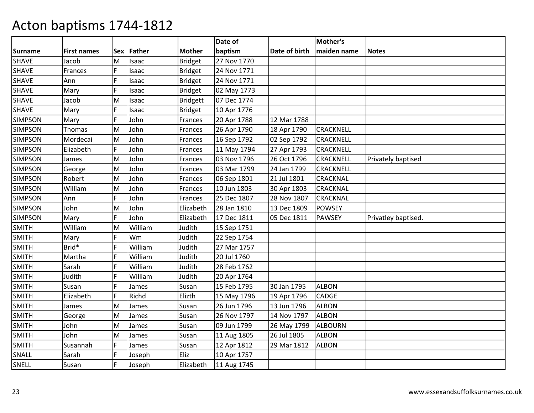|                |                    |            |         |                 | Date of     |               | Mother's         |                     |
|----------------|--------------------|------------|---------|-----------------|-------------|---------------|------------------|---------------------|
| <b>Surname</b> | <b>First names</b> | <b>Sex</b> | Father  | <b>Mother</b>   | baptism     | Date of birth | maiden name      | <b>Notes</b>        |
| <b>SHAVE</b>   | Jacob              | M          | Isaac   | <b>Bridget</b>  | 27 Nov 1770 |               |                  |                     |
| <b>SHAVE</b>   | Frances            | F          | Isaac   | <b>Bridget</b>  | 24 Nov 1771 |               |                  |                     |
| <b>SHAVE</b>   | Ann                | F          | Isaac   | Bridget         | 24 Nov 1771 |               |                  |                     |
| <b>SHAVE</b>   | Mary               | F          | Isaac   | <b>Bridget</b>  | 02 May 1773 |               |                  |                     |
| <b>SHAVE</b>   | Jacob              | M          | Isaac   | <b>Bridgett</b> | 07 Dec 1774 |               |                  |                     |
| SHAVE          | Mary               | F          | Isaac   | <b>Bridget</b>  | 10 Apr 1776 |               |                  |                     |
| <b>SIMPSON</b> | Mary               | F          | John    | Frances         | 20 Apr 1788 | 12 Mar 1788   |                  |                     |
| <b>SIMPSON</b> | <b>Thomas</b>      | M          | John    | Frances         | 26 Apr 1790 | 18 Apr 1790   | <b>CRACKNELL</b> |                     |
| <b>SIMPSON</b> | Mordecai           | M          | John    | Frances         | 16 Sep 1792 | 02 Sep 1792   | <b>CRACKNELL</b> |                     |
| <b>SIMPSON</b> | Elizabeth          | F          | John    | Frances         | 11 May 1794 | 27 Apr 1793   | CRACKNELL        |                     |
| <b>SIMPSON</b> | James              | M          | John    | Frances         | 03 Nov 1796 | 26 Oct 1796   | <b>CRACKNELL</b> | Privately baptised  |
| <b>SIMPSON</b> | George             | M          | John    | Frances         | 03 Mar 1799 | 24 Jan 1799   | CRACKNELL        |                     |
| <b>SIMPSON</b> | Robert             | M          | John    | Frances         | 06 Sep 1801 | 21 Jul 1801   | CRACKNAL         |                     |
| <b>SIMPSON</b> | William            | M          | John    | Frances         | 10 Jun 1803 | 30 Apr 1803   | CRACKNAL         |                     |
| <b>SIMPSON</b> | Ann                | F          | John    | Frances         | 25 Dec 1807 | 28 Nov 1807   | CRACKNAL         |                     |
| <b>SIMPSON</b> | John               | M          | John    | Elizabeth       | 28 Jan 1810 | 13 Dec 1809   | <b>POWSEY</b>    |                     |
| <b>SIMPSON</b> | Mary               | F          | John    | Elizabeth       | 17 Dec 1811 | 05 Dec 1811   | <b>PAWSEY</b>    | Privatley baptised. |
| <b>SMITH</b>   | William            | M          | William | Judith          | 15 Sep 1751 |               |                  |                     |
| <b>SMITH</b>   | Mary               | F          | Wm      | Judith          | 22 Sep 1754 |               |                  |                     |
| <b>SMITH</b>   | Brid*              | F          | William | Judith          | 27 Mar 1757 |               |                  |                     |
| <b>SMITH</b>   | Martha             | F          | William | Judith          | 20 Jul 1760 |               |                  |                     |
| <b>SMITH</b>   | Sarah              | F          | William | Judith          | 28 Feb 1762 |               |                  |                     |
| <b>SMITH</b>   | Judith             | F          | William | Judith          | 20 Apr 1764 |               |                  |                     |
| <b>SMITH</b>   | Susan              | F          | James   | Susan           | 15 Feb 1795 | 30 Jan 1795   | <b>ALBON</b>     |                     |
| <b>SMITH</b>   | Elizabeth          | F          | Richd   | Elizth          | 15 May 1796 | 19 Apr 1796   | CADGE            |                     |
| <b>SMITH</b>   | James              | M          | James   | Susan           | 26 Jun 1796 | 13 Jun 1796   | <b>ALBON</b>     |                     |
| <b>SMITH</b>   | George             | M          | James   | Susan           | 26 Nov 1797 | 14 Nov 1797   | <b>ALBON</b>     |                     |
| <b>SMITH</b>   | John               | M          | James   | Susan           | 09 Jun 1799 | 26 May 1799   | <b>ALBOURN</b>   |                     |
| <b>SMITH</b>   | John               | M          | James   | Susan           | 11 Aug 1805 | 26 Jul 1805   | <b>ALBON</b>     |                     |
| <b>SMITH</b>   | Susannah           | F          | James   | Susan           | 12 Apr 1812 | 29 Mar 1812   | <b>ALBON</b>     |                     |
| SNALL          | Sarah              | F          | Joseph  | Eliz            | 10 Apr 1757 |               |                  |                     |
| SNELL          | Susan              | F          | Joseph  | Elizabeth       | 11 Aug 1745 |               |                  |                     |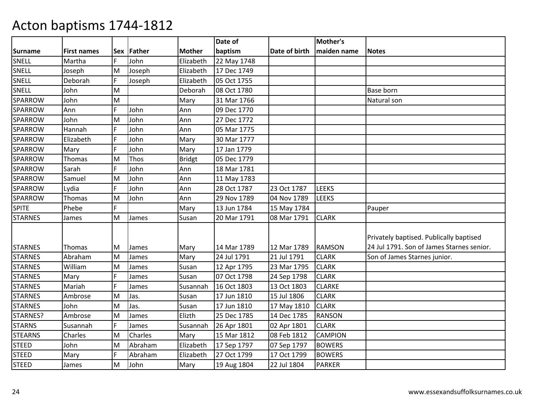|                |                    |    |            |               | Date of     |               | Mother's       |                                           |
|----------------|--------------------|----|------------|---------------|-------------|---------------|----------------|-------------------------------------------|
| <b>Surname</b> | <b>First names</b> |    | Sex Father | <b>Mother</b> | baptism     | Date of birth | maiden name    | <b>Notes</b>                              |
| SNELL          | Martha             | F. | John       | Elizabeth     | 22 May 1748 |               |                |                                           |
| SNELL          | Joseph             | M  | Joseph     | Elizabeth     | 17 Dec 1749 |               |                |                                           |
| SNELL          | Deborah            | F  | Joseph     | Elizabeth     | 05 Oct 1755 |               |                |                                           |
| SNELL          | John               | M  |            | Deborah       | 08 Oct 1780 |               |                | Base born                                 |
| SPARROW        | John               | M  |            | Mary          | 31 Mar 1766 |               |                | Natural son                               |
| <b>SPARROW</b> | Ann                | F  | John       | Ann           | 09 Dec 1770 |               |                |                                           |
| <b>SPARROW</b> | John               | M  | John       | Ann           | 27 Dec 1772 |               |                |                                           |
| SPARROW        | Hannah             | F  | John       | Ann           | 05 Mar 1775 |               |                |                                           |
| SPARROW        | Elizabeth          | F  | John       | Mary          | 30 Mar 1777 |               |                |                                           |
| <b>SPARROW</b> | Mary               | F  | John       | Mary          | 17 Jan 1779 |               |                |                                           |
| <b>SPARROW</b> | Thomas             | M  | Thos       | <b>Bridgt</b> | 05 Dec 1779 |               |                |                                           |
| <b>SPARROW</b> | Sarah              | F  | John       | Ann           | 18 Mar 1781 |               |                |                                           |
| SPARROW        | Samuel             | M  | John       | Ann           | 11 May 1783 |               |                |                                           |
| SPARROW        | Lydia              | F  | John       | Ann           | 28 Oct 1787 | 23 Oct 1787   | <b>LEEKS</b>   |                                           |
| SPARROW        | Thomas             | M  | John       | Ann           | 29 Nov 1789 | 04 Nov 1789   | <b>LEEKS</b>   |                                           |
| <b>SPITE</b>   | Phebe              | F. |            | Mary          | 13 Jun 1784 | 15 May 1784   |                | Pauper                                    |
| <b>STARNES</b> | James              | M  | James      | Susan         | 20 Mar 1791 | 08 Mar 1791   | <b>CLARK</b>   |                                           |
|                |                    |    |            |               |             |               |                |                                           |
|                |                    |    |            |               |             |               |                | Privately baptised. Publically baptised   |
| <b>STARNES</b> | <b>Thomas</b>      | М  | James      | Mary          | 14 Mar 1789 | 12 Mar 1789   | <b>RAMSON</b>  | 24 Jul 1791. Son of James Starnes senior. |
| <b>STARNES</b> | Abraham            | M  | James      | Mary          | 24 Jul 1791 | 21 Jul 1791   | <b>CLARK</b>   | Son of James Starnes junior.              |
| <b>STARNES</b> | William            | M  | James      | Susan         | 12 Apr 1795 | 23 Mar 1795   | <b>CLARK</b>   |                                           |
| <b>STARNES</b> | Mary               | F  | James      | Susan         | 07 Oct 1798 | 24 Sep 1798   | <b>CLARK</b>   |                                           |
| <b>STARNES</b> | Mariah             | F  | James      | Susannah      | 16 Oct 1803 | 13 Oct 1803   | <b>CLARKE</b>  |                                           |
| <b>STARNES</b> | Ambrose            | M  | Jas.       | Susan         | 17 Jun 1810 | 15 Jul 1806   | <b>CLARK</b>   |                                           |
| <b>STARNES</b> | John               | M  | Jas.       | Susan         | 17 Jun 1810 | 17 May 1810   | <b>CLARK</b>   |                                           |
| STARNES?       | Ambrose            | M  | James      | Elizth        | 25 Dec 1785 | 14 Dec 1785   | <b>RANSON</b>  |                                           |
| <b>STARNS</b>  | Susannah           | F  | James      | Susannah      | 26 Apr 1801 | 02 Apr 1801   | <b>CLARK</b>   |                                           |
| <b>STEARNS</b> | Charles            | M  | Charles    | Mary          | 15 Mar 1812 | 08 Feb 1812   | <b>CAMPION</b> |                                           |
| <b>STEED</b>   | John               | M  | Abraham    | Elizabeth     | 17 Sep 1797 | 07 Sep 1797   | <b>BOWERS</b>  |                                           |
| <b>STEED</b>   | Mary               | F  | Abraham    | Elizabeth     | 27 Oct 1799 | 17 Oct 1799   | <b>BOWERS</b>  |                                           |
| <b>STEED</b>   | James              | M  | John       | Mary          | 19 Aug 1804 | 22 Jul 1804   | <b>PARKER</b>  |                                           |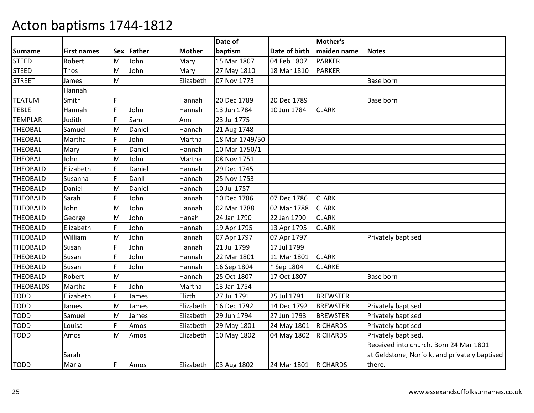|                  |                    |            |        |               | Date of        |                        | Mother's        |                                               |
|------------------|--------------------|------------|--------|---------------|----------------|------------------------|-----------------|-----------------------------------------------|
| Surname          | <b>First names</b> | <b>Sex</b> | Father | <b>Mother</b> | baptism        | Date of birth          | maiden name     | <b>Notes</b>                                  |
| STEED            | Robert             | M          | John   | Mary          | 15 Mar 1807    | 04 Feb 1807            | <b>PARKER</b>   |                                               |
| <b>STEED</b>     | Thos               | M          | John   | Mary          | 27 May 1810    | 18 Mar 1810            | <b>PARKER</b>   |                                               |
| <b>STREET</b>    | James              | M          |        | Elizabeth     | 07 Nov 1773    |                        |                 | Base born                                     |
|                  | Hannah             |            |        |               |                |                        |                 |                                               |
| <b>TEATUM</b>    | Smith              | F          |        | Hannah        | 20 Dec 1789    | 20 Dec 1789            |                 | <b>Base born</b>                              |
| <b>TEBLE</b>     | Hannah             | E          | John   | Hannah        | 13 Jun 1784    | 10 Jun 1784            | <b>CLARK</b>    |                                               |
| <b>TEMPLAR</b>   | Judith             | F          | Sam    | Ann           | 23 Jul 1775    |                        |                 |                                               |
| <b>THEOBAL</b>   | Samuel             | M          | Daniel | Hannah        | 21 Aug 1748    |                        |                 |                                               |
| <b>THEOBAL</b>   | Martha             |            | John   | Martha        | 18 Mar 1749/50 |                        |                 |                                               |
| <b>THEOBAL</b>   | Mary               | F          | Daniel | Hannah        | 10 Mar 1750/1  |                        |                 |                                               |
| <b>THEOBAL</b>   | John               | M          | John   | Martha        | 08 Nov 1751    |                        |                 |                                               |
| <b>THEOBALD</b>  | Elizabeth          | F          | Daniel | Hannah        | 29 Dec 1745    |                        |                 |                                               |
| <b>THEOBALD</b>  | Susanna            | F          | Danll  | Hannah        | 25 Nov 1753    |                        |                 |                                               |
| <b>THEOBALD</b>  | Daniel             | M          | Daniel | Hannah        | 10 Jul 1757    |                        |                 |                                               |
| <b>THEOBALD</b>  | Sarah              | F          | John   | Hannah        | 10 Dec 1786    | 07 Dec 1786            | <b>CLARK</b>    |                                               |
| <b>THEOBALD</b>  | John               | M          | John   | Hannah        | 02 Mar 1788    | 02 Mar 1788            | <b>CLARK</b>    |                                               |
| <b>THEOBALD</b>  | George             | M          | John   | Hanah         | 24 Jan 1790    | 22 Jan 1790            | <b>CLARK</b>    |                                               |
| <b>THEOBALD</b>  | Elizabeth          | F          | John   | Hannah        | 19 Apr 1795    | 13 Apr 1795            | <b>CLARK</b>    |                                               |
| <b>THEOBALD</b>  | William            | M          | John   | Hannah        | 07 Apr 1797    | 07 Apr 1797            |                 | Privately baptised                            |
| <b>THEOBALD</b>  | Susan              | F          | John   | Hannah        | 21 Jul 1799    | 17 Jul 1799            |                 |                                               |
| <b>THEOBALD</b>  | Susan              | F          | John   | Hannah        | 22 Mar 1801    | 11 Mar 1801            | <b>CLARK</b>    |                                               |
| <b>THEOBALD</b>  | Susan              | F          | John   | Hannah        | 16 Sep 1804    | * Sep 1804             | <b>CLARKE</b>   |                                               |
| <b>THEOBALD</b>  | Robert             | M          |        | Hannah        | 25 Oct 1807    | 17 Oct 1807            |                 | <b>Base born</b>                              |
| <b>THEOBALDS</b> | Martha             |            | John   | Martha        | 13 Jan 1754    |                        |                 |                                               |
| <b>TODD</b>      | Elizabeth          | F          | James  | Elizth        | 27 Jul 1791    | 25 Jul 1791            | <b>BREWSTER</b> |                                               |
| TODD             | James              | M          | James  | Elizabeth     | 16 Dec 1792    | 14 Dec 1792            | <b>BREWSTER</b> | Privately baptised                            |
| <b>TODD</b>      | Samuel             | M          | James  | Elizabeth     | 29 Jun 1794    | 27 Jun 1793            | <b>BREWSTER</b> | Privately baptised                            |
| <b>TODD</b>      | Louisa             | F.         | Amos   | Elizabeth     | 29 May 1801    | 24 May 1801            | <b>RICHARDS</b> | Privately baptised                            |
| <b>TODD</b>      | Amos               | M          | Amos   | Elizabeth     | 10 May 1802    | 04 May 1802            | <b>RICHARDS</b> | Privately baptised.                           |
|                  |                    |            |        |               |                |                        |                 | Received into church. Born 24 Mar 1801        |
|                  | Sarah              |            |        |               |                |                        |                 | at Geldstone, Norfolk, and privately baptised |
| <b>TODD</b>      | Maria              | F          | Amos   | Elizabeth     | 03 Aug 1802    | 24 Mar 1801   RICHARDS |                 | there.                                        |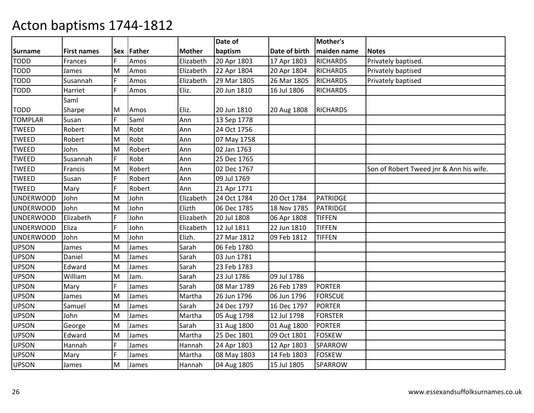|                  |                    |            |        |               | Date of     |               | Mother's        |                                         |
|------------------|--------------------|------------|--------|---------------|-------------|---------------|-----------------|-----------------------------------------|
| <b>Surname</b>   | <b>First names</b> | <b>Sex</b> | Father | <b>Mother</b> | baptism     | Date of birth | maiden name     | <b>Notes</b>                            |
| <b>TODD</b>      | Frances            | F          | Amos   | Elizabeth     | 20 Apr 1803 | 17 Apr 1803   | <b>RICHARDS</b> | Privately baptised.                     |
| <b>TODD</b>      | James              | M          | Amos   | Elizabeth     | 22 Apr 1804 | 20 Apr 1804   | <b>RICHARDS</b> | Privately baptised                      |
| <b>TODD</b>      | Susannah           | F          | Amos   | Elizabeth     | 29 Mar 1805 | 26 Mar 1805   | <b>RICHARDS</b> | Privately baptised                      |
| <b>TODD</b>      | Harriet            | F.         | Amos   | Eliz.         | 20 Jun 1810 | 16 Jul 1806   | <b>RICHARDS</b> |                                         |
|                  | Saml               |            |        |               |             |               |                 |                                         |
| <b>TODD</b>      | Sharpe             | M          | Amos   | Eliz.         | 20 Jun 1810 | 20 Aug 1808   | <b>RICHARDS</b> |                                         |
| <b>TOMPLAR</b>   | Susan              | F          | Saml   | Ann           | 13 Sep 1778 |               |                 |                                         |
| <b>TWEED</b>     | Robert             | M          | Robt   | Ann           | 24 Oct 1756 |               |                 |                                         |
| <b>TWEED</b>     | Robert             | M          | Robt   | Ann           | 07 May 1758 |               |                 |                                         |
| <b>TWEED</b>     | John               | M          | Robert | Ann           | 02 Jan 1763 |               |                 |                                         |
| <b>TWEED</b>     | Susannah           | F.         | Robt   | Ann           | 25 Dec 1765 |               |                 |                                         |
| <b>TWEED</b>     | Francis            | M          | Robert | Ann           | 02 Dec 1767 |               |                 | Son of Robert Tweed jnr & Ann his wife. |
| <b>TWEED</b>     | Susan              | F          | Robert | Ann           | 09 Jul 1769 |               |                 |                                         |
| <b>TWEED</b>     | Mary               | F          | Robert | Ann           | 21 Apr 1771 |               |                 |                                         |
| <b>UNDERWOOD</b> | John               | M          | John   | Elizabeth     | 24 Oct 1784 | 20 Oct 1784   | <b>PATRIDGE</b> |                                         |
| <b>UNDERWOOD</b> | John               | M          | John   | Elizth        | 06 Dec 1785 | 18 Nov 1785   | <b>PATRIDGE</b> |                                         |
| <b>UNDERWOOD</b> | Elizabeth          | F          | John   | Elizabeth     | 20 Jul 1808 | 06 Apr 1808   | <b>TIFFEN</b>   |                                         |
| <b>UNDERWOOD</b> | Eliza              | F          | John   | Elizabeth     | 12 Jul 1811 | 22 Jun 1810   | <b>TIFFEN</b>   |                                         |
| <b>UNDERWOOD</b> | John               | M          | John   | Elizh.        | 27 Mar 1812 | 09 Feb 1812   | <b>TIFFEN</b>   |                                         |
| <b>UPSON</b>     | James              | M          | James  | Sarah         | 06 Feb 1780 |               |                 |                                         |
| <b>UPSON</b>     | Daniel             | M          | James  | Sarah         | 03 Jun 1781 |               |                 |                                         |
| <b>UPSON</b>     | Edward             | M          | James  | Sarah         | 23 Feb 1783 |               |                 |                                         |
| <b>UPSON</b>     | William            | M          | Jam.   | Sarah         | 23 Jul 1786 | 09 Jul 1786   |                 |                                         |
| <b>UPSON</b>     | Mary               | F          | James  | Sarah         | 08 Mar 1789 | 26 Feb 1789   | <b>PORTER</b>   |                                         |
| <b>UPSON</b>     | James              | M          | James  | Martha        | 26 Jun 1796 | 06 Jun 1796   | <b>FORSCUE</b>  |                                         |
| <b>UPSON</b>     | Samuel             | M          | James  | Sarah         | 24 Dec 1797 | 16 Dec 1797   | <b>PORTER</b>   |                                         |
| <b>UPSON</b>     | John               | M          | James  | Martha        | 05 Aug 1798 | 12 Jul 1798   | <b>FORSTER</b>  |                                         |
| <b>UPSON</b>     | George             | M          | James  | Sarah         | 31 Aug 1800 | 01 Aug 1800   | <b>PORTER</b>   |                                         |
| <b>UPSON</b>     | Edward             | M          | James  | Martha        | 25 Dec 1801 | 09 Oct 1801   | <b>FOSKEW</b>   |                                         |
| <b>UPSON</b>     | Hannah             | F          | James  | Hannah        | 24 Apr 1803 | 12 Apr 1803   | <b>SPARROW</b>  |                                         |
| <b>UPSON</b>     | Mary               | F          | James  | Martha        | 08 May 1803 | 14 Feb 1803   | <b>FOSKEW</b>   |                                         |
| <b>UPSON</b>     | James              | M          | James  | Hannah        | 04 Aug 1805 | 15 Jul 1805   | <b>SPARROW</b>  |                                         |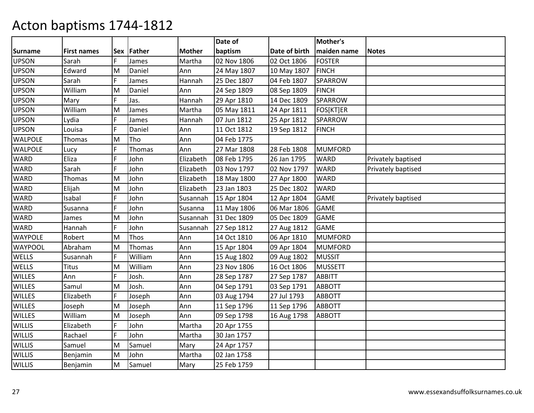|                |                    |    |              |               | Date of     |               | Mother's       |                    |
|----------------|--------------------|----|--------------|---------------|-------------|---------------|----------------|--------------------|
| <b>Surname</b> | <b>First names</b> |    | Sex   Father | <b>Mother</b> | baptism     | Date of birth | maiden name    | <b>Notes</b>       |
| <b>UPSON</b>   | Sarah              | F. | James        | Martha        | 02 Nov 1806 | 02 Oct 1806   | <b>FOSTER</b>  |                    |
| <b>UPSON</b>   | Edward             | M  | Daniel       | Ann           | 24 May 1807 | 10 May 1807   | <b>FINCH</b>   |                    |
| <b>UPSON</b>   | Sarah              | F  | James        | Hannah        | 25 Dec 1807 | 04 Feb 1807   | <b>SPARROW</b> |                    |
| <b>UPSON</b>   | William            | M  | Daniel       | Ann           | 24 Sep 1809 | 08 Sep 1809   | <b>FINCH</b>   |                    |
| <b>UPSON</b>   | Mary               | F  | Jas.         | Hannah        | 29 Apr 1810 | 14 Dec 1809   | <b>SPARROW</b> |                    |
| <b>UPSON</b>   | William            | M  | James        | Martha        | 05 May 1811 | 24 Apr 1811   | FOS[KT]ER      |                    |
| <b>UPSON</b>   | Lydia              | F  | James        | Hannah        | 07 Jun 1812 | 25 Apr 1812   | <b>SPARROW</b> |                    |
| <b>UPSON</b>   | Louisa             | Ē  | Daniel       | Ann           | 11 Oct 1812 | 19 Sep 1812   | <b>FINCH</b>   |                    |
| <b>WALPOLE</b> | Thomas             | M  | <b>Tho</b>   | Ann           | 04 Feb 1775 |               |                |                    |
| <b>WALPOLE</b> | Lucy               | F  | Thomas       | Ann           | 27 Mar 1808 | 28 Feb 1808   | <b>MUMFORD</b> |                    |
| WARD           | Eliza              | F  | John         | Elizabeth     | 08 Feb 1795 | 26 Jan 1795   | <b>WARD</b>    | Privately baptised |
| <b>WARD</b>    | Sarah              | F  | John         | Elizabeth     | 03 Nov 1797 | 02 Nov 1797   | <b>WARD</b>    | Privately baptised |
| <b>WARD</b>    | Thomas             | M  | John         | Elizabeth     | 18 May 1800 | 27 Apr 1800   | <b>WARD</b>    |                    |
| <b>WARD</b>    | Elijah             | M  | John         | Elizabeth     | 23 Jan 1803 | 25 Dec 1802   | <b>WARD</b>    |                    |
| WARD           | Isabal             | F  | John         | Susannah      | 15 Apr 1804 | 12 Apr 1804   | <b>GAME</b>    | Privately baptised |
| WARD           | Susanna            | F  | John         | Susanna       | 11 May 1806 | 06 Mar 1806   | <b>GAME</b>    |                    |
| <b>WARD</b>    | James              | M  | John         | Susannah      | 31 Dec 1809 | 05 Dec 1809   | <b>GAME</b>    |                    |
| <b>WARD</b>    | Hannah             | F  | John         | Susannah      | 27 Sep 1812 | 27 Aug 1812   | <b>GAME</b>    |                    |
| <b>WAYPOLE</b> | Robert             | M  | Thos         | Ann           | 14 Oct 1810 | 06 Apr 1810   | <b>MUMFORD</b> |                    |
| WAYPOOL        | Abraham            | M  | Thomas       | Ann           | 15 Apr 1804 | 09 Apr 1804   | <b>MUMFORD</b> |                    |
| WELLS          | Susannah           | F  | William      | Ann           | 15 Aug 1802 | 09 Aug 1802   | <b>MUSSIT</b>  |                    |
| WELLS          | <b>Titus</b>       | M  | William      | Ann           | 23 Nov 1806 | 16 Oct 1806   | <b>MUSSETT</b> |                    |
| <b>WILLES</b>  | Ann                | F  | Josh.        | Ann           | 28 Sep 1787 | 27 Sep 1787   | <b>ABBITT</b>  |                    |
| <b>WILLES</b>  | Samul              | M  | Josh.        | Ann           | 04 Sep 1791 | 03 Sep 1791   | <b>ABBOTT</b>  |                    |
| <b>WILLES</b>  | Elizabeth          | F  | Joseph       | Ann           | 03 Aug 1794 | 27 Jul 1793   | <b>ABBOTT</b>  |                    |
| <b>WILLES</b>  | Joseph             | M  | Joseph       | Ann           | 11 Sep 1796 | 11 Sep 1796   | <b>ABBOTT</b>  |                    |
| <b>WILLES</b>  | William            | M  | Joseph       | Ann           | 09 Sep 1798 | 16 Aug 1798   | <b>ABBOTT</b>  |                    |
| <b>WILLIS</b>  | Elizabeth          | F  | John         | Martha        | 20 Apr 1755 |               |                |                    |
| <b>WILLIS</b>  | Rachael            | F  | John         | Martha        | 30 Jan 1757 |               |                |                    |
| <b>WILLIS</b>  | Samuel             | M  | Samuel       | Mary          | 24 Apr 1757 |               |                |                    |
| <b>WILLIS</b>  | Benjamin           | м  | John         | Martha        | 02 Jan 1758 |               |                |                    |
| <b>WILLIS</b>  | Benjamin           | M  | Samuel       | Mary          | 25 Feb 1759 |               |                |                    |